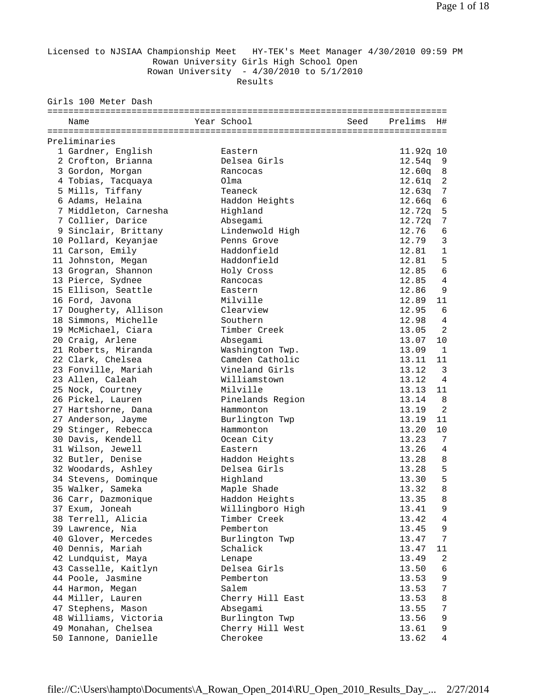Licensed to NJSIAA Championship Meet HY-TEK's Meet Manager 4/30/2010 09:59 PM Rowan University Girls High School Open Rowan University - 4/30/2010 to 5/1/2010

Results

Girls 100 Meter Dash

| Year School<br>Seed<br>Prelims<br>Name<br>H#<br>Preliminaries<br>1 Gardner, English<br>11.92q 10<br>Eastern<br>2 Crofton, Brianna<br>Delsea Girls<br>12.54q<br>9<br>3 Gordon, Morgan<br>12.60q<br>Rancocas<br>8<br>$\overline{2}$<br>4 Tobias, Tacquaya<br>Olma<br>12.61q<br>5 Mills, Tiffany<br>7<br>Teaneck<br>12.63q<br>6 Adams, Helaina<br>Haddon Heights<br>12.66q<br>6<br>7 Middleton, Carnesha<br>Highland<br>5<br>12.72q<br>7 Collier, Darice<br>Absegami<br>7<br>12.72q<br>9 Sinclair, Brittany<br>Lindenwold High<br>12.76<br>6<br>$\mathbf{3}$<br>10 Pollard, Keyanjae<br>12.79<br>Penns Grove<br>$\mathbf{1}$<br>Haddonfield<br>12.81<br>11 Carson, Emily<br>5<br>Haddonfield<br>12.81<br>11 Johnston, Megan<br>$\sqrt{6}$<br>12.85<br>13 Grogran, Shannon<br>Holy Cross<br>13 Pierce, Sydnee<br>12.85<br>$\overline{4}$<br>Rancocas<br>12.86<br>9<br>15 Ellison, Seattle<br>Eastern<br>Milville<br>16 Ford, Javona<br>12.89<br>11<br>17 Dougherty, Allison<br>Clearview<br>12.95<br>6<br>18 Simmons, Michelle<br>Southern<br>12.98<br>4<br>Timber Creek<br>2<br>19 McMichael, Ciara<br>13.05<br>20 Craig, Arlene<br>Absegami<br>13.07<br>10<br>21 Roberts, Miranda<br>Washington Twp.<br>$\mathbf{1}$<br>13.09<br>Camden Catholic<br>22 Clark, Chelsea<br>13.11<br>11<br>Vineland Girls<br>$\overline{3}$<br>23 Fonville, Mariah<br>13.12<br>23 Allen, Caleah<br>Williamstown<br>$\overline{4}$<br>13.12<br>25 Nock, Courtney<br>Milville<br>13.13<br>11<br>26 Pickel, Lauren<br>Pinelands Region<br>13.14<br>8<br>2<br>27 Hartshorne, Dana<br>Hammonton<br>13.19<br>Burlington Twp<br>13.19<br>11<br>27 Anderson, Jayme<br>29 Stinger, Rebecca<br>13.20<br>10<br>Hammonton<br>30 Davis, Kendell<br>Ocean City<br>13.23<br>7<br>$\overline{4}$<br>31 Wilson, Jewell<br>13.26<br>Eastern<br>32 Butler, Denise<br>8<br>Haddon Heights<br>13.28<br>5<br>32 Woodards, Ashley<br>Delsea Girls<br>13.28<br>5<br>34 Stevens, Dominque<br>13.30<br>Highland<br>$\,8\,$<br>35 Walker, Sameka<br>Maple Shade<br>13.32<br>8<br>13.35<br>36 Carr, Dazmonique<br>Haddon Heights<br>Willingboro High<br>13.41<br>37 Exum, Joneah<br>9<br>Timber Creek<br>38 Terrell, Alicia<br>13.42<br>4<br>39 Lawrence, Nia<br>Pemberton<br>13.45<br>9<br>40 Glover, Mercedes<br>Burlington Twp<br>13.47<br>7<br>40 Dennis, Mariah<br>Schalick<br>13.47<br>11<br>42 Lundquist, Maya<br>13.49<br>$\boldsymbol{2}$<br>Lenape<br>43 Casselle, Kaitlyn<br>Delsea Girls<br>13.50<br>6<br>44 Poole, Jasmine<br>Pemberton<br>13.53<br>9<br>7<br>44 Harmon, Megan<br>Salem<br>13.53<br>44 Miller, Lauren<br>Cherry Hill East<br>13.53<br>8<br>47 Stephens, Mason<br>Absegami<br>13.55<br>7<br>48 Williams, Victoria<br>Burlington Twp<br>13.56<br>9<br>49 Monahan, Chelsea<br>Cherry Hill West<br>13.61<br>9 |                      |          |       |   |
|---------------------------------------------------------------------------------------------------------------------------------------------------------------------------------------------------------------------------------------------------------------------------------------------------------------------------------------------------------------------------------------------------------------------------------------------------------------------------------------------------------------------------------------------------------------------------------------------------------------------------------------------------------------------------------------------------------------------------------------------------------------------------------------------------------------------------------------------------------------------------------------------------------------------------------------------------------------------------------------------------------------------------------------------------------------------------------------------------------------------------------------------------------------------------------------------------------------------------------------------------------------------------------------------------------------------------------------------------------------------------------------------------------------------------------------------------------------------------------------------------------------------------------------------------------------------------------------------------------------------------------------------------------------------------------------------------------------------------------------------------------------------------------------------------------------------------------------------------------------------------------------------------------------------------------------------------------------------------------------------------------------------------------------------------------------------------------------------------------------------------------------------------------------------------------------------------------------------------------------------------------------------------------------------------------------------------------------------------------------------------------------------------------------------------------------------------------------------------------------------------------------------------------------------------------------------------------------------------------------------------------------------------------------------------------------------------------------------------------------------------------------------------------------|----------------------|----------|-------|---|
|                                                                                                                                                                                                                                                                                                                                                                                                                                                                                                                                                                                                                                                                                                                                                                                                                                                                                                                                                                                                                                                                                                                                                                                                                                                                                                                                                                                                                                                                                                                                                                                                                                                                                                                                                                                                                                                                                                                                                                                                                                                                                                                                                                                                                                                                                                                                                                                                                                                                                                                                                                                                                                                                                                                                                                                       |                      |          |       |   |
|                                                                                                                                                                                                                                                                                                                                                                                                                                                                                                                                                                                                                                                                                                                                                                                                                                                                                                                                                                                                                                                                                                                                                                                                                                                                                                                                                                                                                                                                                                                                                                                                                                                                                                                                                                                                                                                                                                                                                                                                                                                                                                                                                                                                                                                                                                                                                                                                                                                                                                                                                                                                                                                                                                                                                                                       |                      |          |       |   |
|                                                                                                                                                                                                                                                                                                                                                                                                                                                                                                                                                                                                                                                                                                                                                                                                                                                                                                                                                                                                                                                                                                                                                                                                                                                                                                                                                                                                                                                                                                                                                                                                                                                                                                                                                                                                                                                                                                                                                                                                                                                                                                                                                                                                                                                                                                                                                                                                                                                                                                                                                                                                                                                                                                                                                                                       |                      |          |       |   |
|                                                                                                                                                                                                                                                                                                                                                                                                                                                                                                                                                                                                                                                                                                                                                                                                                                                                                                                                                                                                                                                                                                                                                                                                                                                                                                                                                                                                                                                                                                                                                                                                                                                                                                                                                                                                                                                                                                                                                                                                                                                                                                                                                                                                                                                                                                                                                                                                                                                                                                                                                                                                                                                                                                                                                                                       |                      |          |       |   |
|                                                                                                                                                                                                                                                                                                                                                                                                                                                                                                                                                                                                                                                                                                                                                                                                                                                                                                                                                                                                                                                                                                                                                                                                                                                                                                                                                                                                                                                                                                                                                                                                                                                                                                                                                                                                                                                                                                                                                                                                                                                                                                                                                                                                                                                                                                                                                                                                                                                                                                                                                                                                                                                                                                                                                                                       |                      |          |       |   |
|                                                                                                                                                                                                                                                                                                                                                                                                                                                                                                                                                                                                                                                                                                                                                                                                                                                                                                                                                                                                                                                                                                                                                                                                                                                                                                                                                                                                                                                                                                                                                                                                                                                                                                                                                                                                                                                                                                                                                                                                                                                                                                                                                                                                                                                                                                                                                                                                                                                                                                                                                                                                                                                                                                                                                                                       |                      |          |       |   |
|                                                                                                                                                                                                                                                                                                                                                                                                                                                                                                                                                                                                                                                                                                                                                                                                                                                                                                                                                                                                                                                                                                                                                                                                                                                                                                                                                                                                                                                                                                                                                                                                                                                                                                                                                                                                                                                                                                                                                                                                                                                                                                                                                                                                                                                                                                                                                                                                                                                                                                                                                                                                                                                                                                                                                                                       |                      |          |       |   |
|                                                                                                                                                                                                                                                                                                                                                                                                                                                                                                                                                                                                                                                                                                                                                                                                                                                                                                                                                                                                                                                                                                                                                                                                                                                                                                                                                                                                                                                                                                                                                                                                                                                                                                                                                                                                                                                                                                                                                                                                                                                                                                                                                                                                                                                                                                                                                                                                                                                                                                                                                                                                                                                                                                                                                                                       |                      |          |       |   |
|                                                                                                                                                                                                                                                                                                                                                                                                                                                                                                                                                                                                                                                                                                                                                                                                                                                                                                                                                                                                                                                                                                                                                                                                                                                                                                                                                                                                                                                                                                                                                                                                                                                                                                                                                                                                                                                                                                                                                                                                                                                                                                                                                                                                                                                                                                                                                                                                                                                                                                                                                                                                                                                                                                                                                                                       |                      |          |       |   |
|                                                                                                                                                                                                                                                                                                                                                                                                                                                                                                                                                                                                                                                                                                                                                                                                                                                                                                                                                                                                                                                                                                                                                                                                                                                                                                                                                                                                                                                                                                                                                                                                                                                                                                                                                                                                                                                                                                                                                                                                                                                                                                                                                                                                                                                                                                                                                                                                                                                                                                                                                                                                                                                                                                                                                                                       |                      |          |       |   |
|                                                                                                                                                                                                                                                                                                                                                                                                                                                                                                                                                                                                                                                                                                                                                                                                                                                                                                                                                                                                                                                                                                                                                                                                                                                                                                                                                                                                                                                                                                                                                                                                                                                                                                                                                                                                                                                                                                                                                                                                                                                                                                                                                                                                                                                                                                                                                                                                                                                                                                                                                                                                                                                                                                                                                                                       |                      |          |       |   |
|                                                                                                                                                                                                                                                                                                                                                                                                                                                                                                                                                                                                                                                                                                                                                                                                                                                                                                                                                                                                                                                                                                                                                                                                                                                                                                                                                                                                                                                                                                                                                                                                                                                                                                                                                                                                                                                                                                                                                                                                                                                                                                                                                                                                                                                                                                                                                                                                                                                                                                                                                                                                                                                                                                                                                                                       |                      |          |       |   |
|                                                                                                                                                                                                                                                                                                                                                                                                                                                                                                                                                                                                                                                                                                                                                                                                                                                                                                                                                                                                                                                                                                                                                                                                                                                                                                                                                                                                                                                                                                                                                                                                                                                                                                                                                                                                                                                                                                                                                                                                                                                                                                                                                                                                                                                                                                                                                                                                                                                                                                                                                                                                                                                                                                                                                                                       |                      |          |       |   |
|                                                                                                                                                                                                                                                                                                                                                                                                                                                                                                                                                                                                                                                                                                                                                                                                                                                                                                                                                                                                                                                                                                                                                                                                                                                                                                                                                                                                                                                                                                                                                                                                                                                                                                                                                                                                                                                                                                                                                                                                                                                                                                                                                                                                                                                                                                                                                                                                                                                                                                                                                                                                                                                                                                                                                                                       |                      |          |       |   |
|                                                                                                                                                                                                                                                                                                                                                                                                                                                                                                                                                                                                                                                                                                                                                                                                                                                                                                                                                                                                                                                                                                                                                                                                                                                                                                                                                                                                                                                                                                                                                                                                                                                                                                                                                                                                                                                                                                                                                                                                                                                                                                                                                                                                                                                                                                                                                                                                                                                                                                                                                                                                                                                                                                                                                                                       |                      |          |       |   |
|                                                                                                                                                                                                                                                                                                                                                                                                                                                                                                                                                                                                                                                                                                                                                                                                                                                                                                                                                                                                                                                                                                                                                                                                                                                                                                                                                                                                                                                                                                                                                                                                                                                                                                                                                                                                                                                                                                                                                                                                                                                                                                                                                                                                                                                                                                                                                                                                                                                                                                                                                                                                                                                                                                                                                                                       |                      |          |       |   |
|                                                                                                                                                                                                                                                                                                                                                                                                                                                                                                                                                                                                                                                                                                                                                                                                                                                                                                                                                                                                                                                                                                                                                                                                                                                                                                                                                                                                                                                                                                                                                                                                                                                                                                                                                                                                                                                                                                                                                                                                                                                                                                                                                                                                                                                                                                                                                                                                                                                                                                                                                                                                                                                                                                                                                                                       |                      |          |       |   |
|                                                                                                                                                                                                                                                                                                                                                                                                                                                                                                                                                                                                                                                                                                                                                                                                                                                                                                                                                                                                                                                                                                                                                                                                                                                                                                                                                                                                                                                                                                                                                                                                                                                                                                                                                                                                                                                                                                                                                                                                                                                                                                                                                                                                                                                                                                                                                                                                                                                                                                                                                                                                                                                                                                                                                                                       |                      |          |       |   |
|                                                                                                                                                                                                                                                                                                                                                                                                                                                                                                                                                                                                                                                                                                                                                                                                                                                                                                                                                                                                                                                                                                                                                                                                                                                                                                                                                                                                                                                                                                                                                                                                                                                                                                                                                                                                                                                                                                                                                                                                                                                                                                                                                                                                                                                                                                                                                                                                                                                                                                                                                                                                                                                                                                                                                                                       |                      |          |       |   |
|                                                                                                                                                                                                                                                                                                                                                                                                                                                                                                                                                                                                                                                                                                                                                                                                                                                                                                                                                                                                                                                                                                                                                                                                                                                                                                                                                                                                                                                                                                                                                                                                                                                                                                                                                                                                                                                                                                                                                                                                                                                                                                                                                                                                                                                                                                                                                                                                                                                                                                                                                                                                                                                                                                                                                                                       |                      |          |       |   |
|                                                                                                                                                                                                                                                                                                                                                                                                                                                                                                                                                                                                                                                                                                                                                                                                                                                                                                                                                                                                                                                                                                                                                                                                                                                                                                                                                                                                                                                                                                                                                                                                                                                                                                                                                                                                                                                                                                                                                                                                                                                                                                                                                                                                                                                                                                                                                                                                                                                                                                                                                                                                                                                                                                                                                                                       |                      |          |       |   |
|                                                                                                                                                                                                                                                                                                                                                                                                                                                                                                                                                                                                                                                                                                                                                                                                                                                                                                                                                                                                                                                                                                                                                                                                                                                                                                                                                                                                                                                                                                                                                                                                                                                                                                                                                                                                                                                                                                                                                                                                                                                                                                                                                                                                                                                                                                                                                                                                                                                                                                                                                                                                                                                                                                                                                                                       |                      |          |       |   |
|                                                                                                                                                                                                                                                                                                                                                                                                                                                                                                                                                                                                                                                                                                                                                                                                                                                                                                                                                                                                                                                                                                                                                                                                                                                                                                                                                                                                                                                                                                                                                                                                                                                                                                                                                                                                                                                                                                                                                                                                                                                                                                                                                                                                                                                                                                                                                                                                                                                                                                                                                                                                                                                                                                                                                                                       |                      |          |       |   |
|                                                                                                                                                                                                                                                                                                                                                                                                                                                                                                                                                                                                                                                                                                                                                                                                                                                                                                                                                                                                                                                                                                                                                                                                                                                                                                                                                                                                                                                                                                                                                                                                                                                                                                                                                                                                                                                                                                                                                                                                                                                                                                                                                                                                                                                                                                                                                                                                                                                                                                                                                                                                                                                                                                                                                                                       |                      |          |       |   |
|                                                                                                                                                                                                                                                                                                                                                                                                                                                                                                                                                                                                                                                                                                                                                                                                                                                                                                                                                                                                                                                                                                                                                                                                                                                                                                                                                                                                                                                                                                                                                                                                                                                                                                                                                                                                                                                                                                                                                                                                                                                                                                                                                                                                                                                                                                                                                                                                                                                                                                                                                                                                                                                                                                                                                                                       |                      |          |       |   |
|                                                                                                                                                                                                                                                                                                                                                                                                                                                                                                                                                                                                                                                                                                                                                                                                                                                                                                                                                                                                                                                                                                                                                                                                                                                                                                                                                                                                                                                                                                                                                                                                                                                                                                                                                                                                                                                                                                                                                                                                                                                                                                                                                                                                                                                                                                                                                                                                                                                                                                                                                                                                                                                                                                                                                                                       |                      |          |       |   |
|                                                                                                                                                                                                                                                                                                                                                                                                                                                                                                                                                                                                                                                                                                                                                                                                                                                                                                                                                                                                                                                                                                                                                                                                                                                                                                                                                                                                                                                                                                                                                                                                                                                                                                                                                                                                                                                                                                                                                                                                                                                                                                                                                                                                                                                                                                                                                                                                                                                                                                                                                                                                                                                                                                                                                                                       |                      |          |       |   |
|                                                                                                                                                                                                                                                                                                                                                                                                                                                                                                                                                                                                                                                                                                                                                                                                                                                                                                                                                                                                                                                                                                                                                                                                                                                                                                                                                                                                                                                                                                                                                                                                                                                                                                                                                                                                                                                                                                                                                                                                                                                                                                                                                                                                                                                                                                                                                                                                                                                                                                                                                                                                                                                                                                                                                                                       |                      |          |       |   |
|                                                                                                                                                                                                                                                                                                                                                                                                                                                                                                                                                                                                                                                                                                                                                                                                                                                                                                                                                                                                                                                                                                                                                                                                                                                                                                                                                                                                                                                                                                                                                                                                                                                                                                                                                                                                                                                                                                                                                                                                                                                                                                                                                                                                                                                                                                                                                                                                                                                                                                                                                                                                                                                                                                                                                                                       |                      |          |       |   |
|                                                                                                                                                                                                                                                                                                                                                                                                                                                                                                                                                                                                                                                                                                                                                                                                                                                                                                                                                                                                                                                                                                                                                                                                                                                                                                                                                                                                                                                                                                                                                                                                                                                                                                                                                                                                                                                                                                                                                                                                                                                                                                                                                                                                                                                                                                                                                                                                                                                                                                                                                                                                                                                                                                                                                                                       |                      |          |       |   |
|                                                                                                                                                                                                                                                                                                                                                                                                                                                                                                                                                                                                                                                                                                                                                                                                                                                                                                                                                                                                                                                                                                                                                                                                                                                                                                                                                                                                                                                                                                                                                                                                                                                                                                                                                                                                                                                                                                                                                                                                                                                                                                                                                                                                                                                                                                                                                                                                                                                                                                                                                                                                                                                                                                                                                                                       |                      |          |       |   |
|                                                                                                                                                                                                                                                                                                                                                                                                                                                                                                                                                                                                                                                                                                                                                                                                                                                                                                                                                                                                                                                                                                                                                                                                                                                                                                                                                                                                                                                                                                                                                                                                                                                                                                                                                                                                                                                                                                                                                                                                                                                                                                                                                                                                                                                                                                                                                                                                                                                                                                                                                                                                                                                                                                                                                                                       |                      |          |       |   |
|                                                                                                                                                                                                                                                                                                                                                                                                                                                                                                                                                                                                                                                                                                                                                                                                                                                                                                                                                                                                                                                                                                                                                                                                                                                                                                                                                                                                                                                                                                                                                                                                                                                                                                                                                                                                                                                                                                                                                                                                                                                                                                                                                                                                                                                                                                                                                                                                                                                                                                                                                                                                                                                                                                                                                                                       |                      |          |       |   |
|                                                                                                                                                                                                                                                                                                                                                                                                                                                                                                                                                                                                                                                                                                                                                                                                                                                                                                                                                                                                                                                                                                                                                                                                                                                                                                                                                                                                                                                                                                                                                                                                                                                                                                                                                                                                                                                                                                                                                                                                                                                                                                                                                                                                                                                                                                                                                                                                                                                                                                                                                                                                                                                                                                                                                                                       |                      |          |       |   |
|                                                                                                                                                                                                                                                                                                                                                                                                                                                                                                                                                                                                                                                                                                                                                                                                                                                                                                                                                                                                                                                                                                                                                                                                                                                                                                                                                                                                                                                                                                                                                                                                                                                                                                                                                                                                                                                                                                                                                                                                                                                                                                                                                                                                                                                                                                                                                                                                                                                                                                                                                                                                                                                                                                                                                                                       |                      |          |       |   |
|                                                                                                                                                                                                                                                                                                                                                                                                                                                                                                                                                                                                                                                                                                                                                                                                                                                                                                                                                                                                                                                                                                                                                                                                                                                                                                                                                                                                                                                                                                                                                                                                                                                                                                                                                                                                                                                                                                                                                                                                                                                                                                                                                                                                                                                                                                                                                                                                                                                                                                                                                                                                                                                                                                                                                                                       |                      |          |       |   |
|                                                                                                                                                                                                                                                                                                                                                                                                                                                                                                                                                                                                                                                                                                                                                                                                                                                                                                                                                                                                                                                                                                                                                                                                                                                                                                                                                                                                                                                                                                                                                                                                                                                                                                                                                                                                                                                                                                                                                                                                                                                                                                                                                                                                                                                                                                                                                                                                                                                                                                                                                                                                                                                                                                                                                                                       |                      |          |       |   |
|                                                                                                                                                                                                                                                                                                                                                                                                                                                                                                                                                                                                                                                                                                                                                                                                                                                                                                                                                                                                                                                                                                                                                                                                                                                                                                                                                                                                                                                                                                                                                                                                                                                                                                                                                                                                                                                                                                                                                                                                                                                                                                                                                                                                                                                                                                                                                                                                                                                                                                                                                                                                                                                                                                                                                                                       |                      |          |       |   |
|                                                                                                                                                                                                                                                                                                                                                                                                                                                                                                                                                                                                                                                                                                                                                                                                                                                                                                                                                                                                                                                                                                                                                                                                                                                                                                                                                                                                                                                                                                                                                                                                                                                                                                                                                                                                                                                                                                                                                                                                                                                                                                                                                                                                                                                                                                                                                                                                                                                                                                                                                                                                                                                                                                                                                                                       |                      |          |       |   |
|                                                                                                                                                                                                                                                                                                                                                                                                                                                                                                                                                                                                                                                                                                                                                                                                                                                                                                                                                                                                                                                                                                                                                                                                                                                                                                                                                                                                                                                                                                                                                                                                                                                                                                                                                                                                                                                                                                                                                                                                                                                                                                                                                                                                                                                                                                                                                                                                                                                                                                                                                                                                                                                                                                                                                                                       |                      |          |       |   |
|                                                                                                                                                                                                                                                                                                                                                                                                                                                                                                                                                                                                                                                                                                                                                                                                                                                                                                                                                                                                                                                                                                                                                                                                                                                                                                                                                                                                                                                                                                                                                                                                                                                                                                                                                                                                                                                                                                                                                                                                                                                                                                                                                                                                                                                                                                                                                                                                                                                                                                                                                                                                                                                                                                                                                                                       |                      |          |       |   |
|                                                                                                                                                                                                                                                                                                                                                                                                                                                                                                                                                                                                                                                                                                                                                                                                                                                                                                                                                                                                                                                                                                                                                                                                                                                                                                                                                                                                                                                                                                                                                                                                                                                                                                                                                                                                                                                                                                                                                                                                                                                                                                                                                                                                                                                                                                                                                                                                                                                                                                                                                                                                                                                                                                                                                                                       |                      |          |       |   |
|                                                                                                                                                                                                                                                                                                                                                                                                                                                                                                                                                                                                                                                                                                                                                                                                                                                                                                                                                                                                                                                                                                                                                                                                                                                                                                                                                                                                                                                                                                                                                                                                                                                                                                                                                                                                                                                                                                                                                                                                                                                                                                                                                                                                                                                                                                                                                                                                                                                                                                                                                                                                                                                                                                                                                                                       |                      |          |       |   |
|                                                                                                                                                                                                                                                                                                                                                                                                                                                                                                                                                                                                                                                                                                                                                                                                                                                                                                                                                                                                                                                                                                                                                                                                                                                                                                                                                                                                                                                                                                                                                                                                                                                                                                                                                                                                                                                                                                                                                                                                                                                                                                                                                                                                                                                                                                                                                                                                                                                                                                                                                                                                                                                                                                                                                                                       |                      |          |       |   |
|                                                                                                                                                                                                                                                                                                                                                                                                                                                                                                                                                                                                                                                                                                                                                                                                                                                                                                                                                                                                                                                                                                                                                                                                                                                                                                                                                                                                                                                                                                                                                                                                                                                                                                                                                                                                                                                                                                                                                                                                                                                                                                                                                                                                                                                                                                                                                                                                                                                                                                                                                                                                                                                                                                                                                                                       |                      |          |       |   |
|                                                                                                                                                                                                                                                                                                                                                                                                                                                                                                                                                                                                                                                                                                                                                                                                                                                                                                                                                                                                                                                                                                                                                                                                                                                                                                                                                                                                                                                                                                                                                                                                                                                                                                                                                                                                                                                                                                                                                                                                                                                                                                                                                                                                                                                                                                                                                                                                                                                                                                                                                                                                                                                                                                                                                                                       |                      |          |       |   |
|                                                                                                                                                                                                                                                                                                                                                                                                                                                                                                                                                                                                                                                                                                                                                                                                                                                                                                                                                                                                                                                                                                                                                                                                                                                                                                                                                                                                                                                                                                                                                                                                                                                                                                                                                                                                                                                                                                                                                                                                                                                                                                                                                                                                                                                                                                                                                                                                                                                                                                                                                                                                                                                                                                                                                                                       |                      |          |       |   |
|                                                                                                                                                                                                                                                                                                                                                                                                                                                                                                                                                                                                                                                                                                                                                                                                                                                                                                                                                                                                                                                                                                                                                                                                                                                                                                                                                                                                                                                                                                                                                                                                                                                                                                                                                                                                                                                                                                                                                                                                                                                                                                                                                                                                                                                                                                                                                                                                                                                                                                                                                                                                                                                                                                                                                                                       |                      |          |       |   |
|                                                                                                                                                                                                                                                                                                                                                                                                                                                                                                                                                                                                                                                                                                                                                                                                                                                                                                                                                                                                                                                                                                                                                                                                                                                                                                                                                                                                                                                                                                                                                                                                                                                                                                                                                                                                                                                                                                                                                                                                                                                                                                                                                                                                                                                                                                                                                                                                                                                                                                                                                                                                                                                                                                                                                                                       |                      |          |       |   |
|                                                                                                                                                                                                                                                                                                                                                                                                                                                                                                                                                                                                                                                                                                                                                                                                                                                                                                                                                                                                                                                                                                                                                                                                                                                                                                                                                                                                                                                                                                                                                                                                                                                                                                                                                                                                                                                                                                                                                                                                                                                                                                                                                                                                                                                                                                                                                                                                                                                                                                                                                                                                                                                                                                                                                                                       |                      |          |       |   |
|                                                                                                                                                                                                                                                                                                                                                                                                                                                                                                                                                                                                                                                                                                                                                                                                                                                                                                                                                                                                                                                                                                                                                                                                                                                                                                                                                                                                                                                                                                                                                                                                                                                                                                                                                                                                                                                                                                                                                                                                                                                                                                                                                                                                                                                                                                                                                                                                                                                                                                                                                                                                                                                                                                                                                                                       |                      |          |       |   |
|                                                                                                                                                                                                                                                                                                                                                                                                                                                                                                                                                                                                                                                                                                                                                                                                                                                                                                                                                                                                                                                                                                                                                                                                                                                                                                                                                                                                                                                                                                                                                                                                                                                                                                                                                                                                                                                                                                                                                                                                                                                                                                                                                                                                                                                                                                                                                                                                                                                                                                                                                                                                                                                                                                                                                                                       | 50 Iannone, Danielle | Cherokee | 13.62 | 4 |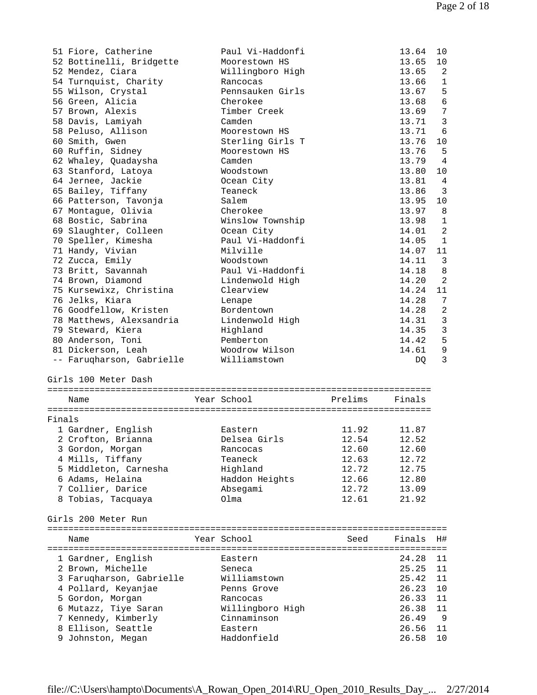|        | 51 Fiore, Catherine                     | Paul Vi-Haddonfi |         | 13.64          | 10             |
|--------|-----------------------------------------|------------------|---------|----------------|----------------|
|        | 52 Bottinelli, Bridgette                | Moorestown HS    |         | 13.65          | 10             |
|        | 52 Mendez, Ciara                        | Willingboro High |         | 13.65          | 2              |
|        | 54 Turnquist, Charity                   | Rancocas         |         | 13.66          | 1              |
|        | 55 Wilson, Crystal                      | Pennsauken Girls |         | 13.67          | 5              |
|        | 56 Green, Alicia                        | Cherokee         |         | 13.68          | $\epsilon$     |
|        |                                         |                  |         |                |                |
|        | 57 Brown, Alexis                        | Timber Creek     |         | 13.69          | $\overline{7}$ |
|        | 58 Davis, Lamiyah                       | Camden           |         | 13.71          | $\mathbf{3}$   |
|        | 58 Peluso, Allison                      | Moorestown HS    |         | 13.71          | 6              |
|        | 60 Smith, Gwen                          | Sterling Girls T |         | 13.76          | 10             |
|        | 60 Ruffin, Sidney                       | Moorestown HS    |         | 13.76          | 5              |
|        | 62 Whaley, Quadaysha                    | Camden           |         | 13.79          | 4              |
|        | 63 Stanford, Latoya                     | Woodstown        |         | 13.80          | 10             |
|        | 64 Jernee, Jackie                       | Ocean City       |         | 13.81          | 4              |
|        | 65 Bailey, Tiffany                      | Teaneck          |         | 13.86          | 3              |
|        |                                         |                  |         |                |                |
|        | 66 Patterson, Tavonja                   | Salem            |         | 13.95          | 10             |
|        | 67 Montague, Olivia                     | Cherokee         |         | 13.97          | 8              |
|        | 68 Bostic, Sabrina                      | Winslow Township |         | 13.98          | 1              |
|        | 69 Slaughter, Colleen                   | Ocean City       |         | 14.01          | 2              |
|        | 70 Speller, Kimesha                     | Paul Vi-Haddonfi |         | 14.05          | 1              |
|        | 71 Handy, Vivian                        | Milville         |         | 14.07          | 11             |
|        | 72 Zucca, Emily                         | Woodstown        |         | 14.11          | 3              |
|        | 73 Britt, Savannah                      | Paul Vi-Haddonfi |         | 14.18          | 8              |
|        | 74 Brown, Diamond                       | Lindenwold High  |         | 14.20          | 2              |
|        |                                         |                  |         |                |                |
|        | 75 Kursewixz, Christina                 | Clearview        |         | 14.24          | 11             |
|        | 76 Jelks, Kiara                         | Lenape           |         | 14.28          | 7              |
|        | 76 Goodfellow, Kristen                  | Bordentown       |         | 14.28          | $\overline{c}$ |
|        | 78 Matthews, Alexsandria                | Lindenwold High  |         | 14.31          | $\mathfrak{Z}$ |
|        | 79 Steward, Kiera                       | Highland         |         | 14.35          | 3              |
|        | 80 Anderson, Toni                       | Pemberton        |         | 14.42          | 5              |
|        | 81 Dickerson, Leah                      | Woodrow Wilson   |         | 14.61          | 9              |
|        | -- Faruqharson, Gabrielle               | Williamstown     |         | DQ.            | 3              |
|        |                                         |                  |         |                |                |
|        | Girls 100 Meter Dash                    |                  |         |                |                |
|        |                                         |                  |         |                |                |
|        |                                         |                  |         |                |                |
|        | Name                                    | Year School      | Prelims | Finals         |                |
|        |                                         |                  |         |                |                |
|        |                                         |                  |         |                |                |
| Finals |                                         |                  |         |                |                |
|        | 1 Gardner, English                      | Eastern          | 11.92   | 11.87          |                |
|        |                                         |                  |         |                |                |
|        | 2 Crofton, Brianna                      | Delsea Girls     | 12.54   | 12.52          |                |
|        | 3 Gordon, Morgan                        | Rancocas         | 12.60   | 12.60          |                |
|        | 4 Mills, Tiffany                        | Teaneck          | 12.63   | 12.72          |                |
|        | 5 Middleton, Carnesha                   | Highland         | 12.72   | 12.75          |                |
|        | 6 Adams, Helaina                        | Haddon Heights   | 12.66   | 12.80          |                |
|        | 7 Collier, Darice                       | Absegami         | 12.72   | 13.09          |                |
|        | 8 Tobias, Tacquaya                      | Olma             | 12.61   | 21.92          |                |
|        |                                         |                  |         |                |                |
|        | Girls 200 Meter Run                     |                  |         |                |                |
|        |                                         |                  |         |                |                |
|        | Name                                    | Year School      | Seed    | Finals         | H#             |
|        |                                         |                  |         |                |                |
|        |                                         |                  |         |                |                |
|        | 1 Gardner, English                      | Eastern          |         | 24.28          | 11             |
|        | 2 Brown, Michelle                       | Seneca           |         | 25.25          | 11             |
|        | 3 Farugharson, Gabrielle                | Williamstown     |         | 25.42          | 11             |
|        | 4 Pollard, Keyanjae                     | Penns Grove      |         | 26.23          | 10             |
|        | 5 Gordon, Morgan                        | Rancocas         |         | 26.33          | 11             |
|        | 6 Mutazz, Tiye Saran                    | Willingboro High |         | 26.38          | 11             |
|        | 7 Kennedy, Kimberly                     | Cinnaminson      |         | 26.49          | - 9            |
|        |                                         | Eastern          |         |                | 11             |
|        | 8 Ellison, Seattle<br>9 Johnston, Megan | Haddonfield      |         | 26.56<br>26.58 | 10             |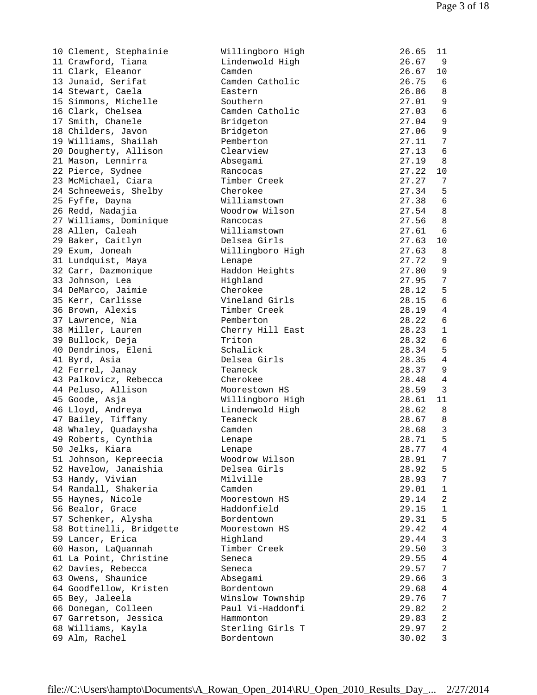| 10 Clement, Stephainie   | Willingboro High | 26.65 | 11                      |
|--------------------------|------------------|-------|-------------------------|
| 11 Crawford, Tiana       | Lindenwold High  | 26.67 | 9                       |
| 11 Clark, Eleanor        | Camden           | 26.67 | 10                      |
| 13 Junaid, Serifat       | Camden Catholic  | 26.75 | 6                       |
| 14 Stewart, Caela        | Eastern          | 26.86 | 8                       |
| 15 Simmons, Michelle     | Southern         | 27.01 | 9                       |
| 16 Clark, Chelsea        | Camden Catholic  | 27.03 | $\sqrt{6}$              |
| 17 Smith, Chanele        | Bridgeton        | 27.04 | $\mathsf 9$             |
| 18 Childers, Javon       | Bridgeton        | 27.06 | $\mathsf 9$             |
| 19 Williams, Shailah     | Pemberton        | 27.11 | 7                       |
| 20 Dougherty, Allison    | Clearview        | 27.13 | $\epsilon$              |
| 21 Mason, Lennirra       | Absegami         | 27.19 | 8                       |
| 22 Pierce, Sydnee        | Rancocas         | 27.22 | 10                      |
| 23 McMichael, Ciara      | Timber Creek     | 27.27 | 7                       |
| 24 Schneeweis, Shelby    | Cherokee         | 27.34 | 5                       |
| 25 Fyffe, Dayna          | Williamstown     | 27.38 | $\epsilon$              |
| 26 Redd, Nadajia         | Woodrow Wilson   | 27.54 | 8                       |
| 27 Williams, Dominique   | Rancocas         | 27.56 | 8                       |
| 28 Allen, Caleah         | Williamstown     | 27.61 | 6                       |
| 29 Baker, Caitlyn        | Delsea Girls     | 27.63 | 10                      |
| 29 Exum, Joneah          | Willingboro High | 27.63 | 8                       |
| 31 Lundquist, Maya       | Lenape           | 27.72 | 9                       |
| 32 Carr, Dazmonique      | Haddon Heights   | 27.80 | 9                       |
| 33 Johnson, Lea          | Highland         | 27.95 | $\overline{7}$          |
| 34 DeMarco, Jaimie       | Cherokee         | 28.12 | 5                       |
| 35 Kerr, Carlisse        | Vineland Girls   | 28.15 | $\sqrt{6}$              |
| 36 Brown, Alexis         | Timber Creek     | 28.19 | $\overline{4}$          |
| 37 Lawrence, Nia         | Pemberton        | 28.22 | 6                       |
| 38 Miller, Lauren        | Cherry Hill East | 28.23 | $\mathbf 1$             |
| 39 Bullock, Deja         | Triton           | 28.32 | 6                       |
| 40 Dendrinos, Eleni      | Schalick         | 28.34 | 5                       |
| 41 Byrd, Asia            | Delsea Girls     | 28.35 | $\overline{4}$          |
| 42 Ferrel, Janay         | Teaneck          | 28.37 | 9                       |
| 43 Palkovicz, Rebecca    | Cherokee         | 28.48 | $\overline{4}$          |
| 44 Peluso, Allison       | Moorestown HS    | 28.59 | 3                       |
| 45 Goode, Asja           | Willingboro High | 28.61 | 11                      |
| 46 Lloyd, Andreya        | Lindenwold High  | 28.62 | 8                       |
| 47 Bailey, Tiffany       | Teaneck          | 28.67 | 8                       |
| 48 Whaley, Quadaysha     | Camden           | 28.68 | 3                       |
| 49 Roberts, Cynthia      | Lenape           | 28.71 | 5                       |
| 50 Jelks, Kiara          | Lenape           | 28.77 | 4                       |
| 51 Johnson, Kepreecia    | Woodrow Wilson   | 28.91 | 7                       |
| 52 Havelow, Janaishia    | Delsea Girls     | 28.92 | 5                       |
| 53 Handy, Vivian         | Milville         | 28.93 | 7                       |
| 54 Randall, Shakeria     | Camden           | 29.01 | $\mathbf{1}$            |
| 55 Haynes, Nicole        | Moorestown HS    | 29.14 | 2                       |
| 56 Bealor, Grace         | Haddonfield      | 29.15 | $\mathbf{1}$            |
| 57 Schenker, Alysha      | Bordentown       | 29.31 | 5                       |
| 58 Bottinelli, Bridgette | Moorestown HS    | 29.42 | 4                       |
| 59 Lancer, Erica         | Highland         | 29.44 | 3                       |
| 60 Hason, LaQuannah      | Timber Creek     | 29.50 | $\mathfrak{Z}$          |
| 61 La Point, Christine   | Seneca           | 29.55 | $\sqrt{4}$              |
| 62 Davies, Rebecca       | Seneca           | 29.57 | 7                       |
| 63 Owens, Shaunice       | Absegami         | 29.66 | 3                       |
| 64 Goodfellow, Kristen   | Bordentown       | 29.68 | 4                       |
| 65 Bey, Jaleela          | Winslow Township | 29.76 | 7                       |
| 66 Donegan, Colleen      | Paul Vi-Haddonfi | 29.82 | 2                       |
| 67 Garretson, Jessica    | Hammonton        | 29.83 | $\overline{\mathbf{c}}$ |
| 68 Williams, Kayla       | Sterling Girls T | 29.97 | $\sqrt{2}$              |
| 69 Alm, Rachel           | Bordentown       | 30.02 | 3                       |
|                          |                  |       |                         |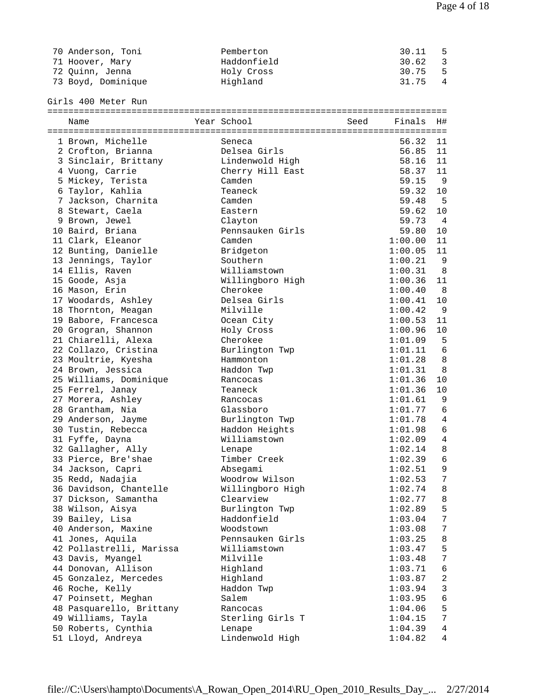| 70 Anderson, Toni  | Pemberton   | 30.11   | - 5 |
|--------------------|-------------|---------|-----|
| 71 Hoover, Mary    | Haddonfield | 30.62 3 |     |
| 72 Ouinn, Jenna    | Holy Cross  | 30.75 5 |     |
| 73 Boyd, Dominique | Highland    | 31.75 4 |     |

Girls 400 Meter Run

| Name                                     | Year School                      | Seed | Finals             | H#             |
|------------------------------------------|----------------------------------|------|--------------------|----------------|
|                                          |                                  |      |                    |                |
| 1 Brown, Michelle                        | Seneca                           |      | 56.32              | 11             |
| 2 Crofton, Brianna                       | Delsea Girls                     |      | 56.85              | 11             |
| 3 Sinclair, Brittany                     | Lindenwold High                  |      | 58.16              | 11             |
| 4 Vuong, Carrie                          | Cherry Hill East                 |      | 58.37              | 11             |
| 5 Mickey, Terista                        | Camden                           |      | 59.15              | - 9            |
| 6 Taylor, Kahlia                         | Teaneck                          |      | 59.32              | 10             |
| 7 Jackson, Charnita                      | Camden                           |      | 59.48              | $-5$           |
| 8 Stewart, Caela                         | Eastern                          |      | 59.62              | 10             |
| 9 Brown, Jewel                           | Clayton                          |      | 59.73              | $\overline{4}$ |
| 10 Baird, Briana                         | Pennsauken Girls                 |      | 59.80              | 10             |
| 11 Clark, Eleanor                        | Camden                           |      | 1:00.00            | 11             |
| 12 Bunting, Danielle                     | Bridgeton                        |      | 1:00.05            | 11             |
| 13 Jennings, Taylor                      | Southern                         |      | 1:00.21            | - 9            |
| 14 Ellis, Raven                          | Williamstown                     |      | 1:00.31            | 8              |
| 15 Goode, Asja                           | Willingboro High                 |      | 1:00.36            | 11             |
| 16 Mason, Erin                           | Cherokee                         |      | 1:00.40            | 8 <sup>8</sup> |
| 17 Woodards, Ashley                      | Delsea Girls                     |      | 1:00.41            | 10             |
| 18 Thornton, Meagan                      | Milville                         |      | 1:00.42            | 9              |
| 19 Babore, Francesca                     | Ocean City                       |      | 1:00.53            | 11             |
| 20 Grogran, Shannon                      | Holy Cross                       |      | 1:00.96            | 10             |
| 21 Chiarelli, Alexa                      | Cherokee                         |      | 1:01.09            | 5              |
| 22 Collazo, Cristina                     | Burlington Twp                   |      | 1:01.11            | 6              |
| 23 Moultrie, Kyesha                      | Hammonton                        |      | 1:01.28            | 8              |
| 24 Brown, Jessica                        | Haddon Twp                       |      | 1:01.31            | 8              |
| 25 Williams, Dominique                   | Rancocas                         |      | 1:01.36            | 10             |
| 25 Ferrel, Janay                         | Teaneck                          |      | 1:01.36            | 10             |
| 27 Morera, Ashley                        | Rancocas                         |      | 1:01.61            | 9              |
| 28 Grantham, Nia                         | Glassboro                        |      | 1:01.77            | 6              |
|                                          |                                  |      |                    | $\overline{4}$ |
| 29 Anderson, Jayme<br>30 Tustin, Rebecca | Burlington Twp<br>Haddon Heights |      | 1:01.78<br>1:01.98 | $\sqrt{6}$     |
| 31 Fyffe, Dayna                          | Williamstown                     |      | 1:02.09            | $\sqrt{4}$     |
| 32 Gallagher, Ally                       | Lenape                           |      | 1:02.14            | $\,8\,$        |
| 33 Pierce, Bre'shae                      | Timber Creek                     |      | 1:02.39            | 6              |
|                                          |                                  |      |                    | 9              |
| 34 Jackson, Capri                        | Absegami<br>Woodrow Wilson       |      | 1:02.51<br>1:02.53 | 7              |
| 35 Redd, Nadajia                         |                                  |      | 1:02.74            | 8              |
| 36 Davidson, Chantelle                   | Willingboro High                 |      |                    | 8              |
| 37 Dickson, Samantha                     | Clearview                        |      | 1:02.77            |                |
| 38 Wilson, Aisya                         | Burlington Twp                   |      | 1:02.89            | 5              |
| 39 Bailey, Lisa                          | Haddonfield                      |      | 1:03.04            | 7              |
| 40 Anderson, Maxine                      | Woodstown                        |      | 1:03.08            | 7              |
| 41 Jones, Aquila                         | Pennsauken Girls                 |      | 1:03.25            | 8              |
| 42 Pollastrelli, Marissa                 | Williamstown                     |      | 1:03.47            | 5              |
| 43 Davis, Myangel                        | Milville                         |      | 1:03.48            | 7              |
| 44 Donovan, Allison                      | Highland                         |      | 1:03.71            | 6              |
| 45 Gonzalez, Mercedes                    | Highland                         |      | 1:03.87            | $\sqrt{2}$     |
| 46 Roche, Kelly                          | Haddon Twp                       |      | 1:03.94            | 3              |
| 47 Poinsett, Meghan                      | Salem                            |      | 1:03.95            | $\epsilon$     |
| 48 Pasquarello, Brittany                 | Rancocas                         |      | 1:04.06            | 5              |
| 49 Williams, Tayla                       | Sterling Girls T                 |      | 1:04.15            | 7              |
| 50 Roberts, Cynthia                      | Lenape                           |      | 1:04.39            | $\overline{4}$ |
| 51 Lloyd, Andreya                        | Lindenwold High                  |      | 1:04.82            | 4              |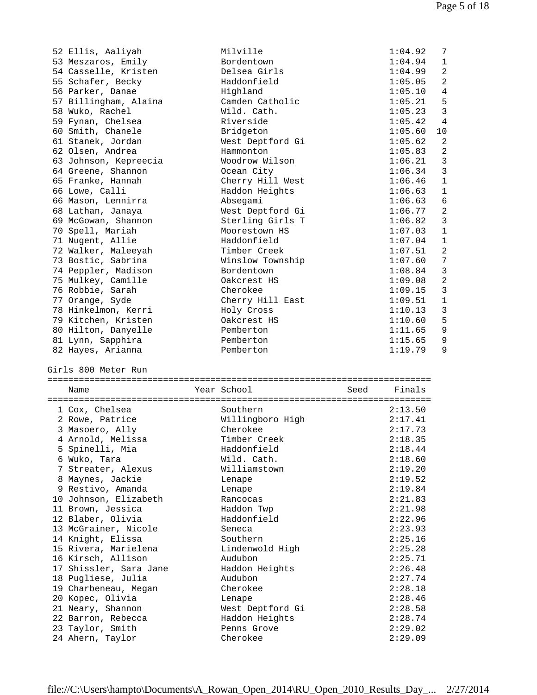| 52 Ellis, Aaliyah                    | Milville                   | 1:04.92            | 7              |
|--------------------------------------|----------------------------|--------------------|----------------|
| 53 Meszaros, Emily                   | Bordentown                 | 1:04.94            | 1              |
| 54 Casselle, Kristen                 | Delsea Girls               | 1:04.99            | $\overline{a}$ |
| 55 Schafer, Becky                    | Haddonfield                | 1:05.05            | 2              |
| 56 Parker, Danae                     | Highland                   | 1:05.10            | 4              |
| 57 Billingham, Alaina                | Camden Catholic            | 1:05.21            | 5              |
| 58 Wuko, Rachel                      | Wild. Cath.                | 1:05.23            | $\mathbf{3}$   |
| 59 Fynan, Chelsea                    | Riverside                  | 1:05.42            | $\overline{4}$ |
| 60 Smith, Chanele                    | Bridgeton                  | 1:05.60            | 10             |
| 61 Stanek, Jordan                    | West Deptford Gi           | 1:05.62            | 2              |
| 62 Olsen, Andrea                     | Hammonton                  | 1:05.83            | $\sqrt{2}$     |
|                                      | Woodrow Wilson             | 1:06.21            | 3              |
| 63 Johnson, Kepreecia                |                            |                    | $\mathbf{3}$   |
| 64 Greene, Shannon                   | Ocean City                 | 1:06.34            |                |
| 65 Franke, Hannah                    | Cherry Hill West           | 1:06.46            | $\mathbf{1}$   |
| 66 Lowe, Calli                       | Haddon Heights             | 1:06.63            | $\mathbf 1$    |
| 66 Mason, Lennirra                   | Absegami                   | 1:06.63            | 6              |
| 68 Lathan, Janaya                    | West Deptford Gi           | 1:06.77            | $\mathbf{2}$   |
| 69 McGowan, Shannon                  | Sterling Girls T           | 1:06.82            | 3              |
| 70 Spell, Mariah                     | Moorestown HS              | 1:07.03            | $\mathbf{1}$   |
| 71 Nugent, Allie                     | Haddonfield                | 1:07.04            | $\mathbf 1$    |
| 72 Walker, Maleeyah                  | Timber Creek               | 1:07.51            | 2              |
| 73 Bostic, Sabrina                   | Winslow Township           | 1:07.60            | 7              |
| 74 Peppler, Madison                  | Bordentown                 | 1:08.84            | $\mathbf{3}$   |
| 75 Mulkey, Camille                   | Oakcrest HS                | 1:09.08            | $\sqrt{2}$     |
| 76 Robbie, Sarah                     | Cherokee                   | 1:09.15            | $\mathbf{3}$   |
| 77 Orange, Syde                      | Cherry Hill East           | 1:09.51            | $\mathbf 1$    |
| 78 Hinkelmon, Kerri                  | Holy Cross                 | 1:10.13            | $\mathbf{3}$   |
| 79 Kitchen, Kristen                  | Oakcrest HS                | 1:10.60            | 5              |
| 80 Hilton, Danyelle                  | Pemberton                  | 1:11.65            | 9              |
| 81 Lynn, Sapphira                    | Pemberton                  | 1:15.65            | 9              |
|                                      |                            |                    |                |
| 82 Hayes, Arianna                    | Pemberton                  | 1:19.79            | 9              |
| Girls 800 Meter Run                  |                            |                    |                |
|                                      |                            |                    |                |
| Name                                 | Year School                | Finals<br>Seed     |                |
|                                      |                            |                    |                |
| 1 Cox, Chelsea                       | Southern                   | 2:13.50            |                |
| 2 Rowe, Patrice                      | Willingboro High           | 2:17.41            |                |
| 3 Masoero, Ally                      | Cherokee                   | 2:17.73            |                |
| 4 Arnold, Melissa                    | Timber Creek               | 2:18.35            |                |
| 5 Spinelli, Mia                      | Haddonfield                | 2:18.44            |                |
| 6 Wuko, Tara                         | Wild. Cath.                | 2:18.60            |                |
| 7 Streater, Alexus                   | Williamstown               | 2:19.20            |                |
| 8 Maynes, Jackie                     | Lenape                     | 2:19.52            |                |
| 9 Restivo, Amanda                    | Lenape                     | 2:19.84            |                |
| 10 Johnson, Elizabeth                | Rancocas                   | 2:21.83            |                |
| 11 Brown, Jessica                    | Haddon Twp                 | 2:21.98            |                |
| 12 Blaber, Olivia                    | Haddonfield                | 2:22.96            |                |
| 13 McGrainer, Nicole                 | Seneca                     | 2:23.93            |                |
|                                      | Southern                   |                    |                |
| 14 Knight, Elissa                    |                            | 2:25.16            |                |
| 15 Rivera, Marielena                 | Lindenwold High<br>Audubon | 2:25.28<br>2:25.71 |                |
| 16 Kirsch, Allison                   |                            |                    |                |
| 17 Shissler, Sara Jane               | Haddon Heights             | 2:26.48            |                |
| 18 Pugliese, Julia                   | Audubon                    | 2:27.74            |                |
| 19 Charbeneau, Megan                 | Cherokee                   | 2:28.18            |                |
| 20 Kopec, Olivia                     | Lenape                     | 2:28.46            |                |
| 21 Neary, Shannon                    | West Deptford Gi           | 2:28.58            |                |
| 22 Barron, Rebecca                   | Haddon Heights             | 2:28.74            |                |
| 23 Taylor, Smith<br>24 Ahern, Taylor | Penns Grove<br>Cherokee    | 2:29.02<br>2:29.09 |                |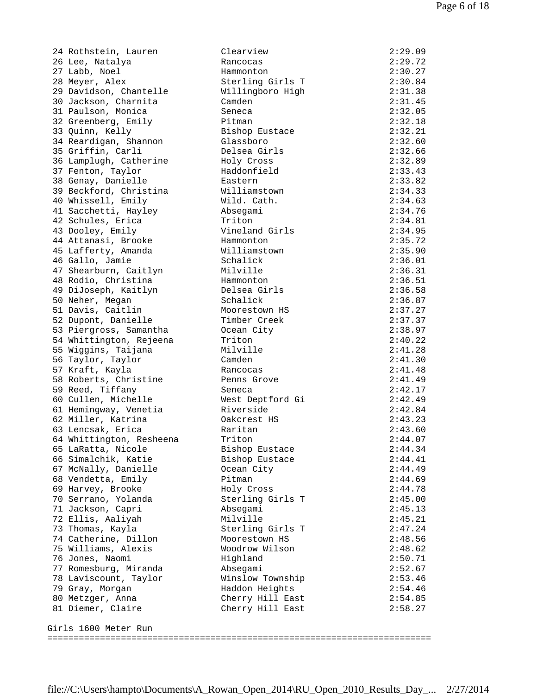| 27 ROCHSCEIH, Baulen     | CTCAT ATCM       | 2 . 2 <i>.</i> 0 <i>.</i> |
|--------------------------|------------------|---------------------------|
| 26 Lee, Natalya          | Rancocas         | 2:29.72                   |
| 27 Labb, Noel            | Hammonton        | 2:30.27                   |
| 28 Meyer, Alex           | Sterling Girls T | 2:30.84                   |
| 29 Davidson, Chantelle   | Willingboro High | 2:31.38                   |
| 30 Jackson, Charnita     | Camden           | 2:31.45                   |
| 31 Paulson, Monica       | Seneca           | 2:32.05                   |
| 32 Greenberg, Emily      | Pitman           | 2:32.18                   |
| 33 Quinn, Kelly          | Bishop Eustace   | 2:32.21                   |
|                          |                  |                           |
| 34 Reardigan, Shannon    | Glassboro        | 2:32.60                   |
| 35 Griffin, Carli        | Delsea Girls     | 2:32.66                   |
| 36 Lamplugh, Catherine   | Holy Cross       | 2:32.89                   |
| 37 Fenton, Taylor        | Haddonfield      | 2:33.43                   |
| 38 Genay, Danielle       | Eastern          | 2:33.82                   |
| 39 Beckford, Christina   | Williamstown     | 2:34.33                   |
| 40 Whissell, Emily       | Wild. Cath.      | 2:34.63                   |
| 41 Sacchetti, Hayley     | Absegami         | 2:34.76                   |
| 42 Schules, Erica        | Triton           | 2:34.81                   |
| 43 Dooley, Emily         | Vineland Girls   | 2:34.95                   |
| 44 Attanasi, Brooke      | Hammonton        | 2:35.72                   |
|                          |                  |                           |
| 45 Lafferty, Amanda      | Williamstown     | 2:35.90                   |
| 46 Gallo, Jamie          | Schalick         | 2:36.01                   |
| 47 Shearburn, Caitlyn    | Milville         | 2:36.31                   |
| 48 Rodio, Christina      | Hammonton        | 2:36.51                   |
| 49 DiJoseph, Kaitlyn     | Delsea Girls     | 2:36.58                   |
| 50 Neher, Megan          | Schalick         | 2:36.87                   |
| 51 Davis, Caitlin        | Moorestown HS    | 2:37.27                   |
| 52 Dupont, Danielle      | Timber Creek     | 2:37.37                   |
| 53 Piergross, Samantha   | Ocean City       | 2:38.97                   |
| 54 Whittington, Rejeena  | Triton           | 2:40.22                   |
| 55 Wiggins, Taijana      | Milville         | 2:41.28                   |
| 56 Taylor, Taylor        | Camden           | 2:41.30                   |
| 57 Kraft, Kayla          | Rancocas         | 2:41.48                   |
| 58 Roberts, Christine    | Penns Grove      | 2:41.49                   |
|                          |                  |                           |
| 59 Reed, Tiffany         | Seneca           | 2:42.17                   |
| 60 Cullen, Michelle      | West Deptford Gi | 2:42.49                   |
| 61 Hemingway, Venetia    | Riverside        | 2:42.84                   |
| 62 Miller, Katrina       | Oakcrest HS      | 2:43.23                   |
| 63 Lencsak, Erica        | Raritan          | 2:43.60                   |
| 64 Whittington, Resheena | Triton           | 2:44.07                   |
| 65 LaRatta, Nicole       | Bishop Eustace   | 2:44.34                   |
| 66 Simalchik, Katie      | Bishop Eustace   | 2:44.41                   |
| 67 McNally, Danielle     | Ocean City       | 2:44.49                   |
| 68 Vendetta, Emily       | Pitman           | 2:44.69                   |
| 69 Harvey, Brooke        | Holy Cross       | 2:44.78                   |
| 70 Serrano, Yolanda      | Sterling Girls T | 2:45.00                   |
| 71 Jackson, Capri        | Absegami         | 2:45.13                   |
| 72 Ellis, Aaliyah        | Milville         | 2:45.21                   |
| 73 Thomas, Kayla         | Sterling Girls T | 2:47.24                   |
|                          |                  |                           |
| 74 Catherine, Dillon     | Moorestown HS    | 2:48.56                   |
| 75 Williams, Alexis      | Woodrow Wilson   | 2:48.62                   |
| 76 Jones, Naomi          | Highland         | 2:50.71                   |
| 77 Romesburg, Miranda    | Absegami         | 2:52.67                   |
| 78 Laviscount, Taylor    | Winslow Township | 2:53.46                   |
| 79 Gray, Morgan          | Haddon Heights   | 2:54.46                   |
| 80 Metzger, Anna         | Cherry Hill East | 2:54.85                   |
| 81 Diemer, Claire        | Cherry Hill East | 2:58.27                   |
|                          |                  |                           |
| Girls 1600 Meter Run     |                  |                           |
|                          |                  |                           |
|                          |                  |                           |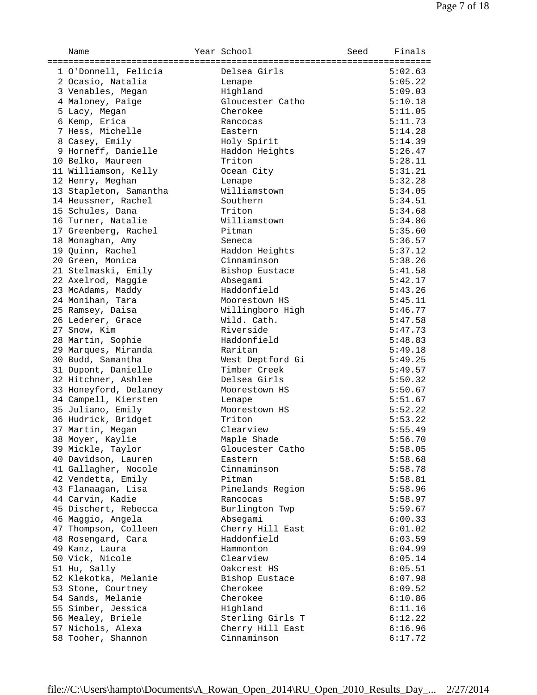| Name                   | Year School      | Seed | Finals  |
|------------------------|------------------|------|---------|
| 1 O'Donnell, Felicia   | Delsea Girls     |      | 5:02.63 |
| 2 Ocasio, Natalia      | Lenape           |      | 5:05.22 |
| 3 Venables, Megan      | Highland         |      | 5:09.03 |
| 4 Maloney, Paige       | Gloucester Catho |      | 5:10.18 |
| 5 Lacy, Megan          | Cherokee         |      | 5:11.05 |
| 6 Kemp, Erica          | Rancocas         |      | 5:11.73 |
| 7 Hess, Michelle       | Eastern          |      | 5:14.28 |
| 8 Casey, Emily         | Holy Spirit      |      | 5:14.39 |
| 9 Horneff, Danielle    | Haddon Heights   |      | 5:26.47 |
| 10 Belko, Maureen      | Triton           |      | 5:28.11 |
| 11 Williamson, Kelly   | Ocean City       |      | 5:31.21 |
| 12 Henry, Meghan       | Lenape           |      | 5:32.28 |
| 13 Stapleton, Samantha | Williamstown     |      | 5:34.05 |
| 14 Heussner, Rachel    | Southern         |      | 5:34.51 |
| 15 Schules, Dana       | Triton           |      | 5:34.68 |
| 16 Turner, Natalie     | Williamstown     |      | 5:34.86 |
| 17 Greenberg, Rachel   | Pitman           |      | 5:35.60 |
| 18 Monaghan, Amy       | Seneca           |      | 5:36.57 |
| 19 Quinn, Rachel       | Haddon Heights   |      | 5:37.12 |
| 20 Green, Monica       | Cinnaminson      |      | 5:38.26 |
| 21 Stelmaski, Emily    | Bishop Eustace   |      | 5:41.58 |
| 22 Axelrod, Maggie     | Absegami         |      | 5:42.17 |
| 23 McAdams, Maddy      | Haddonfield      |      | 5:43.26 |
| 24 Monihan, Tara       | Moorestown HS    |      | 5:45.11 |
| 25 Ramsey, Daisa       | Willingboro High |      | 5:46.77 |
| 26 Lederer, Grace      | Wild. Cath.      |      | 5:47.58 |
| 27 Snow, Kim           | Riverside        |      | 5:47.73 |
| 28 Martin, Sophie      | Haddonfield      |      | 5:48.83 |
| 29 Marques, Miranda    | Raritan          |      | 5:49.18 |
| 30 Budd, Samantha      | West Deptford Gi |      | 5:49.25 |
| 31 Dupont, Danielle    | Timber Creek     |      | 5:49.57 |
| 32 Hitchner, Ashlee    | Delsea Girls     |      | 5:50.32 |
| 33 Honeyford, Delaney  | Moorestown HS    |      | 5:50.67 |
| 34 Campell, Kiersten   | Lenape           |      | 5:51.67 |
| 35 Juliano, Emily      | Moorestown HS    |      | 5:52.22 |
| 36 Hudrick, Bridget    | Triton           |      | 5:53.22 |
| 37 Martin, Megan       | Clearview        |      | 5:55.49 |
| 38 Moyer, Kaylie       | Maple Shade      |      | 5:56.70 |
| 39 Mickle, Taylor      | Gloucester Catho |      | 5:58.05 |
| 40 Davidson, Lauren    | Eastern          |      | 5:58.68 |
| 41 Gallagher, Nocole   | Cinnaminson      |      | 5:58.78 |
| 42 Vendetta, Emily     | Pitman           |      | 5:58.81 |
| 43 Flanaagan, Lisa     | Pinelands Region |      | 5:58.96 |
| 44 Carvin, Kadie       | Rancocas         |      | 5:58.97 |
| 45 Dischert, Rebecca   | Burlington Twp   |      | 5:59.67 |
| 46 Maggio, Angela      | Absegami         |      | 6:00.33 |
| 47 Thompson, Colleen   | Cherry Hill East |      | 6:01.02 |
| 48 Rosengard, Cara     | Haddonfield      |      | 6:03.59 |
| 49 Kanz, Laura         | Hammonton        |      | 6:04.99 |
| 50 Vick, Nicole        | Clearview        |      | 6:05.14 |
| 51 Hu, Sally           | Oakcrest HS      |      | 6:05.51 |
| 52 Klekotka, Melanie   | Bishop Eustace   |      | 6:07.98 |
| 53 Stone, Courtney     | Cherokee         |      | 6:09.52 |
| 54 Sands, Melanie      | Cherokee         |      | 6:10.86 |
| 55 Simber, Jessica     | Highland         |      | 6:11.16 |
| 56 Mealey, Briele      | Sterling Girls T |      | 6:12.22 |
| 57 Nichols, Alexa      | Cherry Hill East |      | 6:16.96 |
| 58 Tooher, Shannon     | Cinnaminson      |      | 6:17.72 |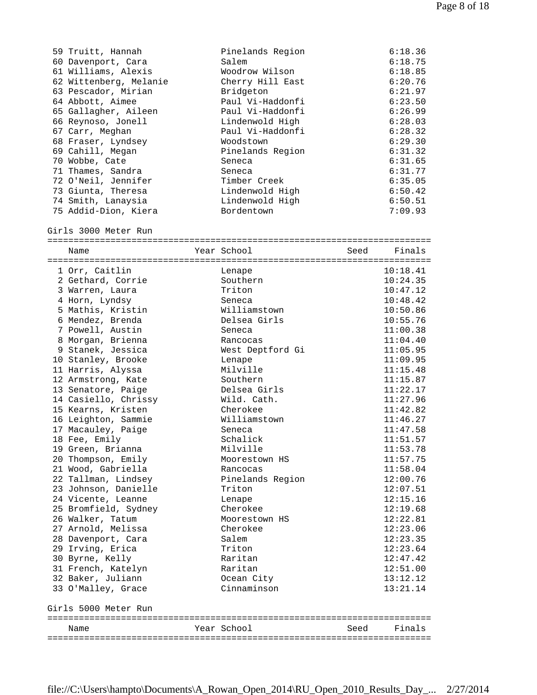| 59 Truitt, Hannah      | Pinelands Region   |      | 6:18.36  |
|------------------------|--------------------|------|----------|
| 60 Davenport, Cara     | Salem              |      | 6:18.75  |
| 61 Williams, Alexis    | Woodrow Wilson     |      | 6:18.85  |
| 62 Wittenberg, Melanie | Cherry Hill East   |      | 6:20.76  |
| 63 Pescador, Mirian    | Bridgeton          |      | 6:21.97  |
| 64 Abbott, Aimee       | Paul Vi-Haddonfi   |      | 6:23.50  |
| 65 Gallagher, Aileen   | Paul Vi-Haddonfi   |      | 6:26.99  |
| 66 Reynoso, Jonell     | Lindenwold High    |      | 6:28.03  |
| 67 Carr, Meghan        | Paul Vi-Haddonfi   |      | 6:28.32  |
| 68 Fraser, Lyndsey     | Woodstown          |      | 6:29.30  |
| 69 Cahill, Megan       | Pinelands Region   |      | 6:31.32  |
| 70 Wobbe, Cate         | Seneca             |      | 6:31.65  |
| 71 Thames, Sandra      | Seneca             |      | 6:31.77  |
| 72 O'Neil, Jennifer    | Timber Creek       |      | 6:35.05  |
| 73 Giunta, Theresa     | Lindenwold High    |      | 6:50.42  |
| 74 Smith, Lanaysia     | Lindenwold High    |      | 6:50.51  |
| 75 Addid-Dion, Kiera   | Bordentown         |      | 7:09.93  |
| Girls 3000 Meter Run   |                    |      |          |
|                        | Year School        | Seed | Finals   |
| Name                   |                    |      |          |
| 1 Orr, Caitlin         |                    |      | 10:18.41 |
| 2 Gethard, Corrie      | Lenape<br>Southern |      | 10:24.35 |
| 3 Warren, Laura        | Triton             |      | 10:47.12 |
| 4 Horn, Lyndsy         | Seneca             |      | 10:48.42 |
| 5 Mathis, Kristin      | Williamstown       |      | 10:50.86 |
| 6 Mendez, Brenda       | Delsea Girls       |      | 10:55.76 |
| 7 Powell, Austin       |                    |      | 11:00.38 |
| 8 Morgan, Brienna      | Seneca             |      | 11:04.40 |
|                        | Rancocas           |      | 11:05.95 |
| 9 Stanek, Jessica      | West Deptford Gi   |      |          |
| 10 Stanley, Brooke     | Lenape<br>Milville |      | 11:09.95 |
| 11 Harris, Alyssa      | Southern           |      | 11:15.48 |
| 12 Armstrong, Kate     |                    |      | 11:15.87 |
| 13 Senatore, Paige     | Delsea Girls       |      | 11:22.17 |
| 14 Casiello, Chrissy   | Wild. Cath.        |      | 11:27.96 |
| 15 Kearns, Kristen     | Cherokee           |      | 11:42.82 |
| 16 Leighton, Sammie    | Williamstown       |      | 11:46.27 |
| 17 Macauley, Paige     | Seneca             |      | 11:47.58 |
| 18 Fee, Emily          | Schalick           |      | 11:51.57 |
| 19 Green, Brianna      | Milville           |      | 11:53.78 |
| 20 Thompson, Emily     | Moorestown HS      |      | 11:57.75 |
| 21 Wood, Gabriella     | Rancocas           |      | 11:58.04 |
| 22 Tallman, Lindsey    | Pinelands Region   |      | 12:00.76 |
| 23 Johnson, Danielle   | Triton             |      | 12:07.51 |
| 24 Vicente, Leanne     | Lenape             |      | 12:15.16 |
| 25 Bromfield, Sydney   | Cherokee           |      | 12:19.68 |
| 26 Walker, Tatum       | Moorestown HS      |      | 12:22.81 |
| 27 Arnold, Melissa     | Cherokee           |      | 12:23.06 |
| 28 Davenport, Cara     | Salem              |      | 12:23.35 |
| 29 Irving, Erica       | Triton             |      | 12:23.64 |
| 30 Byrne, Kelly        | Raritan            |      | 12:47.42 |
| 31 French, Katelyn     | Raritan            |      | 12:51.00 |
| 32 Baker, Juliann      | Ocean City         |      | 13:12.12 |
| 33 O'Malley, Grace     | Cinnaminson        |      | 13:21.14 |
| Girls 5000 Meter Run   |                    |      |          |
|                        |                    |      |          |
| Name                   | Year School        | Seed | Finals   |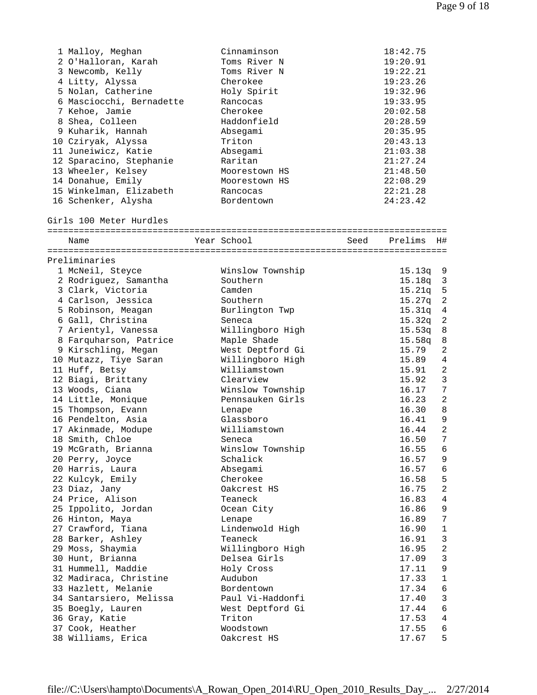| 1 Malloy, Meghan         | Cinnaminson            |      | 18:42.75 |                  |
|--------------------------|------------------------|------|----------|------------------|
| 2 O'Halloran, Karah      | Toms River N           |      | 19:20.91 |                  |
| 3 Newcomb, Kelly         | Toms River N           |      | 19:22.21 |                  |
| 4 Litty, Alyssa          | Cherokee               |      | 19:23.26 |                  |
| 5 Nolan, Catherine       | Holy Spirit            |      | 19:32.96 |                  |
| 6 Masciocchi, Bernadette | Rancocas               |      | 19:33.95 |                  |
| 7 Kehoe, Jamie           | Cherokee               |      | 20:02.58 |                  |
| 8 Shea, Colleen          | Haddonfield            |      | 20:28.59 |                  |
| 9 Kuharik, Hannah        | Absegami               |      | 20:35.95 |                  |
| 10 Cziryak, Alyssa       | Triton                 |      | 20:43.13 |                  |
| 11 Juneiwicz, Katie      | Absegami               |      | 21:03.38 |                  |
| 12 Sparacino, Stephanie  | Raritan                |      | 21:27.24 |                  |
| 13 Wheeler, Kelsey       | Moorestown HS          |      | 21:48.50 |                  |
| 14 Donahue, Emily        | Moorestown HS          |      | 22:08.29 |                  |
| 15 Winkelman, Elizabeth  |                        |      | 22:21.28 |                  |
|                          | Rancocas<br>Bordentown |      | 24:23.42 |                  |
| 16 Schenker, Alysha      |                        |      |          |                  |
| Girls 100 Meter Hurdles  |                        |      |          |                  |
| Name                     | Year School            | Seed | Prelims  | H#               |
|                          |                        |      |          |                  |
| Preliminaries            |                        |      |          |                  |
| 1 McNeil, Steyce         | Winslow Township       |      | 15.13q   | 9                |
| 2 Rodriguez, Samantha    | Southern               |      | 15.18q   | 3                |
| 3 Clark, Victoria        | Camden                 |      | 15.21q   | 5                |
|                          | Southern               |      |          | $\overline{c}$   |
| 4 Carlson, Jessica       |                        |      | 15.27q   |                  |
| 5 Robinson, Meagan       | Burlington Twp         |      | 15.31q   | 4                |
| 6 Gall, Christina        | Seneca                 |      | 15.32q   | 2                |
| 7 Arientyl, Vanessa      | Willingboro High       |      | 15.53q   | 8                |
| 8 Farquharson, Patrice   | Maple Shade            |      | 15.58q   | 8                |
| 9 Kirschling, Megan      | West Deptford Gi       |      | 15.79    | 2                |
| 10 Mutazz, Tiye Saran    | Willingboro High       |      | 15.89    | 4                |
| 11 Huff, Betsy           | Williamstown           |      | 15.91    | $\overline{2}$   |
| 12 Biagi, Brittany       | Clearview              |      | 15.92    | $\mathbf{3}$     |
| 13 Woods, Ciana          | Winslow Township       |      | 16.17    | 7                |
| 14 Little, Monique       | Pennsauken Girls       |      | 16.23    | 2                |
| 15 Thompson, Evann       | Lenape                 |      | 16.30    | 8                |
| 16 Pendelton, Asia       | Glassboro              |      | 16.41    | 9                |
| 17 Akinmade, Modupe      | Williamstown           |      | 16.44    | 2                |
| 18 Smith, Chloe          | Seneca                 |      | 16.50    | $\boldsymbol{7}$ |
| 19 McGrath, Brianna      | Winslow Township       |      | 16.55    | 6                |
| 20 Perry, Joyce          | Schalick               |      | 16.57    | 9                |
| 20 Harris, Laura         | Absegami               |      | 16.57    | 6                |
| 22 Kulcyk, Emily         | Cherokee               |      | 16.58    | 5                |
| 23 Diaz, Jany            | Oakcrest HS            |      | 16.75    | $\overline{c}$   |
| 24 Price, Alison         | Teaneck                |      | 16.83    | $\overline{4}$   |
| 25 Ippolito, Jordan      | Ocean City             |      | 16.86    | 9                |
| 26 Hinton, Maya          | Lenape                 |      | 16.89    | $\boldsymbol{7}$ |
| 27 Crawford, Tiana       | Lindenwold High        |      | 16.90    | $1\,$            |
| 28 Barker, Ashley        | Teaneck                |      | 16.91    | $\mathfrak{Z}$   |
| 29 Moss, Shaymia         | Willingboro High       |      | 16.95    | $\sqrt{2}$       |
| 30 Hunt, Brianna         | Delsea Girls           |      | 17.09    | $\mathfrak{Z}$   |
| 31 Hummell, Maddie       | Holy Cross             |      | 17.11    | 9                |
| 32 Madiraca, Christine   | Audubon                |      | 17.33    | $\mathbf 1$      |
| 33 Hazlett, Melanie      | Bordentown             |      | 17.34    | $\epsilon$       |
| 34 Santarsiero, Melissa  | Paul Vi-Haddonfi       |      | 17.40    | 3                |
| 35 Boegly, Lauren        | West Deptford Gi       |      | 17.44    | $\epsilon$       |
| 36 Gray, Katie           | Triton                 |      | 17.53    | 4                |
| 37 Cook, Heather         | Woodstown              |      | 17.55    | 6                |
|                          |                        |      |          | 5                |
| 38 Williams, Erica       | Oakcrest HS            |      | 17.67    |                  |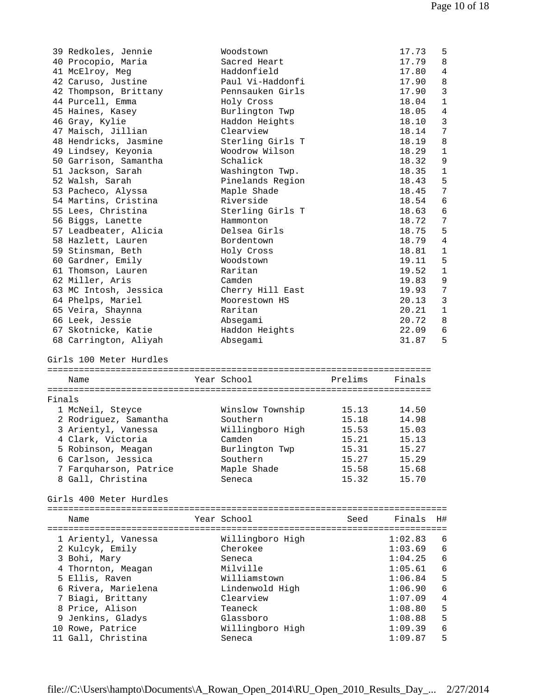| 39 Redkoles, Jennie<br>Woodstown<br>17.73<br>5<br>8<br>40 Procopio, Maria<br>Sacred Heart<br>17.79<br>Haddonfield<br>4<br>41 McElroy, Meg<br>17.80<br>42 Caruso, Justine<br>Paul Vi-Haddonfi<br>17.90<br>8<br>3<br>42 Thompson, Brittany<br>Pennsauken Girls<br>17.90<br>$\mathbf{1}$<br>44 Purcell, Emma<br>18.04<br>Holy Cross<br>$\overline{4}$<br>45 Haines, Kasey<br>Burlington Twp<br>18.05<br>3<br>46 Gray, Kylie<br>Haddon Heights<br>18.10<br>47 Maisch, Jillian<br>Clearview<br>7<br>18.14<br>8<br>18.19<br>48 Hendricks, Jasmine<br>Sterling Girls T<br>Woodrow Wilson<br>18.29<br>$\mathbf{1}$<br>49 Lindsey, Keyonia<br>Schalick<br>18.32<br>9<br>50 Garrison, Samantha<br>51 Jackson, Sarah<br>18.35<br>$\mathbf{1}$<br>Washington Twp.<br>52 Walsh, Sarah<br>Pinelands Region<br>18.43<br>5<br>7<br>53 Pacheco, Alyssa<br>Maple Shade<br>18.45<br>Riverside<br>6<br>54 Martins, Cristina<br>18.54<br>6<br>55 Lees, Christina<br>Sterling Girls T<br>18.63<br>7<br>18.72<br>56 Biggs, Lanette<br>Hammonton<br>5<br>57 Leadbeater, Alicia<br>Delsea Girls<br>18.75<br>$\overline{4}$<br>58 Hazlett, Lauren<br>Bordentown<br>18.79<br>18.81<br>59 Stinsman, Beth<br>Holy Cross<br>$\mathbf{1}$<br>5<br>60 Gardner, Emily<br>19.11<br>Woodstown<br>61 Thomson, Lauren<br>Raritan<br>19.52<br>$\mathbf{1}$<br>62 Miller, Aris<br>9<br>Camden<br>19.83<br>Cherry Hill East<br>7<br>63 MC Intosh, Jessica<br>19.93<br>3<br>64 Phelps, Mariel<br>Moorestown HS<br>20.13<br>65 Veira, Shaynna<br>$\mathbf{1}$<br>Raritan<br>20.21<br>20.72<br>8<br>66 Leek, Jessie<br>Absegami<br>67 Skotnicke, Katie<br>Haddon Heights<br>22.09<br>6<br>68 Carrington, Aliyah<br>31.87<br>5<br>Absegami<br>Girls 100 Meter Hurdles<br>Year School<br>Prelims<br>Finals<br>Name<br>Finals<br>Winslow Township<br>14.50<br>1 McNeil, Steyce<br>15.13<br>2 Rodriguez, Samantha<br>15.18<br>Southern<br>14.98<br>3 Arientyl, Vanessa<br>Willingboro High<br>15.53<br>15.03<br>4 Clark, Victoria<br>15.21<br>Camden<br>15.13<br>5 Robinson, Meagan<br>15.31<br>15.27<br>Burlington Twp<br>6 Carlson, Jessica<br>Southern<br>15.27<br>15.29<br>7 Farquharson, Patrice<br>Maple Shade<br>15.58<br>15.68<br>8 Gall, Christina<br>Seneca<br>15.32<br>15.70<br>Girls 400 Meter Hurdles<br>Year School<br>Seed<br>Finals<br>H#<br>Name<br>Willingboro High<br>1:02.83<br>1 Arientyl, Vanessa<br>6<br>2 Kulcyk, Emily<br>Cherokee<br>1:03.69<br>6<br>3 Bohi, Mary<br>Seneca<br>1:04.25<br>6<br>Milville<br>4 Thornton, Meagan<br>1:05.61<br>6<br>5<br>5 Ellis, Raven<br>Williamstown<br>1:06.84<br>6<br>6 Rivera, Marielena<br>1:06.90<br>Lindenwold High<br>7 Biagi, Brittany<br>$\overline{4}$<br>Clearview<br>1:07.09<br>8 Price, Alison<br>5<br>Teaneck<br>1:08.80<br>5<br>9 Jenkins, Gladys<br>Glassboro<br>1:08.88<br>10 Rowe, Patrice<br>Willingboro High<br>1:09.39<br>6<br>5<br>11 Gall, Christina<br>1:09.87<br>Seneca |  |  |  |
|-------------------------------------------------------------------------------------------------------------------------------------------------------------------------------------------------------------------------------------------------------------------------------------------------------------------------------------------------------------------------------------------------------------------------------------------------------------------------------------------------------------------------------------------------------------------------------------------------------------------------------------------------------------------------------------------------------------------------------------------------------------------------------------------------------------------------------------------------------------------------------------------------------------------------------------------------------------------------------------------------------------------------------------------------------------------------------------------------------------------------------------------------------------------------------------------------------------------------------------------------------------------------------------------------------------------------------------------------------------------------------------------------------------------------------------------------------------------------------------------------------------------------------------------------------------------------------------------------------------------------------------------------------------------------------------------------------------------------------------------------------------------------------------------------------------------------------------------------------------------------------------------------------------------------------------------------------------------------------------------------------------------------------------------------------------------------------------------------------------------------------------------------------------------------------------------------------------------------------------------------------------------------------------------------------------------------------------------------------------------------------------------------------------------------------------------------------------------------------------------------------------------------------------------------------------------------------------------------------------------------------------------------------------------------------------------------------------------------------------------------------------------------------------------------------------------------------------------------------------------------------------------------------------|--|--|--|
|                                                                                                                                                                                                                                                                                                                                                                                                                                                                                                                                                                                                                                                                                                                                                                                                                                                                                                                                                                                                                                                                                                                                                                                                                                                                                                                                                                                                                                                                                                                                                                                                                                                                                                                                                                                                                                                                                                                                                                                                                                                                                                                                                                                                                                                                                                                                                                                                                                                                                                                                                                                                                                                                                                                                                                                                                                                                                                             |  |  |  |
|                                                                                                                                                                                                                                                                                                                                                                                                                                                                                                                                                                                                                                                                                                                                                                                                                                                                                                                                                                                                                                                                                                                                                                                                                                                                                                                                                                                                                                                                                                                                                                                                                                                                                                                                                                                                                                                                                                                                                                                                                                                                                                                                                                                                                                                                                                                                                                                                                                                                                                                                                                                                                                                                                                                                                                                                                                                                                                             |  |  |  |
|                                                                                                                                                                                                                                                                                                                                                                                                                                                                                                                                                                                                                                                                                                                                                                                                                                                                                                                                                                                                                                                                                                                                                                                                                                                                                                                                                                                                                                                                                                                                                                                                                                                                                                                                                                                                                                                                                                                                                                                                                                                                                                                                                                                                                                                                                                                                                                                                                                                                                                                                                                                                                                                                                                                                                                                                                                                                                                             |  |  |  |
|                                                                                                                                                                                                                                                                                                                                                                                                                                                                                                                                                                                                                                                                                                                                                                                                                                                                                                                                                                                                                                                                                                                                                                                                                                                                                                                                                                                                                                                                                                                                                                                                                                                                                                                                                                                                                                                                                                                                                                                                                                                                                                                                                                                                                                                                                                                                                                                                                                                                                                                                                                                                                                                                                                                                                                                                                                                                                                             |  |  |  |
|                                                                                                                                                                                                                                                                                                                                                                                                                                                                                                                                                                                                                                                                                                                                                                                                                                                                                                                                                                                                                                                                                                                                                                                                                                                                                                                                                                                                                                                                                                                                                                                                                                                                                                                                                                                                                                                                                                                                                                                                                                                                                                                                                                                                                                                                                                                                                                                                                                                                                                                                                                                                                                                                                                                                                                                                                                                                                                             |  |  |  |
|                                                                                                                                                                                                                                                                                                                                                                                                                                                                                                                                                                                                                                                                                                                                                                                                                                                                                                                                                                                                                                                                                                                                                                                                                                                                                                                                                                                                                                                                                                                                                                                                                                                                                                                                                                                                                                                                                                                                                                                                                                                                                                                                                                                                                                                                                                                                                                                                                                                                                                                                                                                                                                                                                                                                                                                                                                                                                                             |  |  |  |
|                                                                                                                                                                                                                                                                                                                                                                                                                                                                                                                                                                                                                                                                                                                                                                                                                                                                                                                                                                                                                                                                                                                                                                                                                                                                                                                                                                                                                                                                                                                                                                                                                                                                                                                                                                                                                                                                                                                                                                                                                                                                                                                                                                                                                                                                                                                                                                                                                                                                                                                                                                                                                                                                                                                                                                                                                                                                                                             |  |  |  |
|                                                                                                                                                                                                                                                                                                                                                                                                                                                                                                                                                                                                                                                                                                                                                                                                                                                                                                                                                                                                                                                                                                                                                                                                                                                                                                                                                                                                                                                                                                                                                                                                                                                                                                                                                                                                                                                                                                                                                                                                                                                                                                                                                                                                                                                                                                                                                                                                                                                                                                                                                                                                                                                                                                                                                                                                                                                                                                             |  |  |  |
|                                                                                                                                                                                                                                                                                                                                                                                                                                                                                                                                                                                                                                                                                                                                                                                                                                                                                                                                                                                                                                                                                                                                                                                                                                                                                                                                                                                                                                                                                                                                                                                                                                                                                                                                                                                                                                                                                                                                                                                                                                                                                                                                                                                                                                                                                                                                                                                                                                                                                                                                                                                                                                                                                                                                                                                                                                                                                                             |  |  |  |
|                                                                                                                                                                                                                                                                                                                                                                                                                                                                                                                                                                                                                                                                                                                                                                                                                                                                                                                                                                                                                                                                                                                                                                                                                                                                                                                                                                                                                                                                                                                                                                                                                                                                                                                                                                                                                                                                                                                                                                                                                                                                                                                                                                                                                                                                                                                                                                                                                                                                                                                                                                                                                                                                                                                                                                                                                                                                                                             |  |  |  |
|                                                                                                                                                                                                                                                                                                                                                                                                                                                                                                                                                                                                                                                                                                                                                                                                                                                                                                                                                                                                                                                                                                                                                                                                                                                                                                                                                                                                                                                                                                                                                                                                                                                                                                                                                                                                                                                                                                                                                                                                                                                                                                                                                                                                                                                                                                                                                                                                                                                                                                                                                                                                                                                                                                                                                                                                                                                                                                             |  |  |  |
|                                                                                                                                                                                                                                                                                                                                                                                                                                                                                                                                                                                                                                                                                                                                                                                                                                                                                                                                                                                                                                                                                                                                                                                                                                                                                                                                                                                                                                                                                                                                                                                                                                                                                                                                                                                                                                                                                                                                                                                                                                                                                                                                                                                                                                                                                                                                                                                                                                                                                                                                                                                                                                                                                                                                                                                                                                                                                                             |  |  |  |
|                                                                                                                                                                                                                                                                                                                                                                                                                                                                                                                                                                                                                                                                                                                                                                                                                                                                                                                                                                                                                                                                                                                                                                                                                                                                                                                                                                                                                                                                                                                                                                                                                                                                                                                                                                                                                                                                                                                                                                                                                                                                                                                                                                                                                                                                                                                                                                                                                                                                                                                                                                                                                                                                                                                                                                                                                                                                                                             |  |  |  |
|                                                                                                                                                                                                                                                                                                                                                                                                                                                                                                                                                                                                                                                                                                                                                                                                                                                                                                                                                                                                                                                                                                                                                                                                                                                                                                                                                                                                                                                                                                                                                                                                                                                                                                                                                                                                                                                                                                                                                                                                                                                                                                                                                                                                                                                                                                                                                                                                                                                                                                                                                                                                                                                                                                                                                                                                                                                                                                             |  |  |  |
|                                                                                                                                                                                                                                                                                                                                                                                                                                                                                                                                                                                                                                                                                                                                                                                                                                                                                                                                                                                                                                                                                                                                                                                                                                                                                                                                                                                                                                                                                                                                                                                                                                                                                                                                                                                                                                                                                                                                                                                                                                                                                                                                                                                                                                                                                                                                                                                                                                                                                                                                                                                                                                                                                                                                                                                                                                                                                                             |  |  |  |
|                                                                                                                                                                                                                                                                                                                                                                                                                                                                                                                                                                                                                                                                                                                                                                                                                                                                                                                                                                                                                                                                                                                                                                                                                                                                                                                                                                                                                                                                                                                                                                                                                                                                                                                                                                                                                                                                                                                                                                                                                                                                                                                                                                                                                                                                                                                                                                                                                                                                                                                                                                                                                                                                                                                                                                                                                                                                                                             |  |  |  |
|                                                                                                                                                                                                                                                                                                                                                                                                                                                                                                                                                                                                                                                                                                                                                                                                                                                                                                                                                                                                                                                                                                                                                                                                                                                                                                                                                                                                                                                                                                                                                                                                                                                                                                                                                                                                                                                                                                                                                                                                                                                                                                                                                                                                                                                                                                                                                                                                                                                                                                                                                                                                                                                                                                                                                                                                                                                                                                             |  |  |  |
|                                                                                                                                                                                                                                                                                                                                                                                                                                                                                                                                                                                                                                                                                                                                                                                                                                                                                                                                                                                                                                                                                                                                                                                                                                                                                                                                                                                                                                                                                                                                                                                                                                                                                                                                                                                                                                                                                                                                                                                                                                                                                                                                                                                                                                                                                                                                                                                                                                                                                                                                                                                                                                                                                                                                                                                                                                                                                                             |  |  |  |
|                                                                                                                                                                                                                                                                                                                                                                                                                                                                                                                                                                                                                                                                                                                                                                                                                                                                                                                                                                                                                                                                                                                                                                                                                                                                                                                                                                                                                                                                                                                                                                                                                                                                                                                                                                                                                                                                                                                                                                                                                                                                                                                                                                                                                                                                                                                                                                                                                                                                                                                                                                                                                                                                                                                                                                                                                                                                                                             |  |  |  |
|                                                                                                                                                                                                                                                                                                                                                                                                                                                                                                                                                                                                                                                                                                                                                                                                                                                                                                                                                                                                                                                                                                                                                                                                                                                                                                                                                                                                                                                                                                                                                                                                                                                                                                                                                                                                                                                                                                                                                                                                                                                                                                                                                                                                                                                                                                                                                                                                                                                                                                                                                                                                                                                                                                                                                                                                                                                                                                             |  |  |  |
|                                                                                                                                                                                                                                                                                                                                                                                                                                                                                                                                                                                                                                                                                                                                                                                                                                                                                                                                                                                                                                                                                                                                                                                                                                                                                                                                                                                                                                                                                                                                                                                                                                                                                                                                                                                                                                                                                                                                                                                                                                                                                                                                                                                                                                                                                                                                                                                                                                                                                                                                                                                                                                                                                                                                                                                                                                                                                                             |  |  |  |
|                                                                                                                                                                                                                                                                                                                                                                                                                                                                                                                                                                                                                                                                                                                                                                                                                                                                                                                                                                                                                                                                                                                                                                                                                                                                                                                                                                                                                                                                                                                                                                                                                                                                                                                                                                                                                                                                                                                                                                                                                                                                                                                                                                                                                                                                                                                                                                                                                                                                                                                                                                                                                                                                                                                                                                                                                                                                                                             |  |  |  |
|                                                                                                                                                                                                                                                                                                                                                                                                                                                                                                                                                                                                                                                                                                                                                                                                                                                                                                                                                                                                                                                                                                                                                                                                                                                                                                                                                                                                                                                                                                                                                                                                                                                                                                                                                                                                                                                                                                                                                                                                                                                                                                                                                                                                                                                                                                                                                                                                                                                                                                                                                                                                                                                                                                                                                                                                                                                                                                             |  |  |  |
|                                                                                                                                                                                                                                                                                                                                                                                                                                                                                                                                                                                                                                                                                                                                                                                                                                                                                                                                                                                                                                                                                                                                                                                                                                                                                                                                                                                                                                                                                                                                                                                                                                                                                                                                                                                                                                                                                                                                                                                                                                                                                                                                                                                                                                                                                                                                                                                                                                                                                                                                                                                                                                                                                                                                                                                                                                                                                                             |  |  |  |
|                                                                                                                                                                                                                                                                                                                                                                                                                                                                                                                                                                                                                                                                                                                                                                                                                                                                                                                                                                                                                                                                                                                                                                                                                                                                                                                                                                                                                                                                                                                                                                                                                                                                                                                                                                                                                                                                                                                                                                                                                                                                                                                                                                                                                                                                                                                                                                                                                                                                                                                                                                                                                                                                                                                                                                                                                                                                                                             |  |  |  |
|                                                                                                                                                                                                                                                                                                                                                                                                                                                                                                                                                                                                                                                                                                                                                                                                                                                                                                                                                                                                                                                                                                                                                                                                                                                                                                                                                                                                                                                                                                                                                                                                                                                                                                                                                                                                                                                                                                                                                                                                                                                                                                                                                                                                                                                                                                                                                                                                                                                                                                                                                                                                                                                                                                                                                                                                                                                                                                             |  |  |  |
|                                                                                                                                                                                                                                                                                                                                                                                                                                                                                                                                                                                                                                                                                                                                                                                                                                                                                                                                                                                                                                                                                                                                                                                                                                                                                                                                                                                                                                                                                                                                                                                                                                                                                                                                                                                                                                                                                                                                                                                                                                                                                                                                                                                                                                                                                                                                                                                                                                                                                                                                                                                                                                                                                                                                                                                                                                                                                                             |  |  |  |
|                                                                                                                                                                                                                                                                                                                                                                                                                                                                                                                                                                                                                                                                                                                                                                                                                                                                                                                                                                                                                                                                                                                                                                                                                                                                                                                                                                                                                                                                                                                                                                                                                                                                                                                                                                                                                                                                                                                                                                                                                                                                                                                                                                                                                                                                                                                                                                                                                                                                                                                                                                                                                                                                                                                                                                                                                                                                                                             |  |  |  |
|                                                                                                                                                                                                                                                                                                                                                                                                                                                                                                                                                                                                                                                                                                                                                                                                                                                                                                                                                                                                                                                                                                                                                                                                                                                                                                                                                                                                                                                                                                                                                                                                                                                                                                                                                                                                                                                                                                                                                                                                                                                                                                                                                                                                                                                                                                                                                                                                                                                                                                                                                                                                                                                                                                                                                                                                                                                                                                             |  |  |  |
|                                                                                                                                                                                                                                                                                                                                                                                                                                                                                                                                                                                                                                                                                                                                                                                                                                                                                                                                                                                                                                                                                                                                                                                                                                                                                                                                                                                                                                                                                                                                                                                                                                                                                                                                                                                                                                                                                                                                                                                                                                                                                                                                                                                                                                                                                                                                                                                                                                                                                                                                                                                                                                                                                                                                                                                                                                                                                                             |  |  |  |
|                                                                                                                                                                                                                                                                                                                                                                                                                                                                                                                                                                                                                                                                                                                                                                                                                                                                                                                                                                                                                                                                                                                                                                                                                                                                                                                                                                                                                                                                                                                                                                                                                                                                                                                                                                                                                                                                                                                                                                                                                                                                                                                                                                                                                                                                                                                                                                                                                                                                                                                                                                                                                                                                                                                                                                                                                                                                                                             |  |  |  |
|                                                                                                                                                                                                                                                                                                                                                                                                                                                                                                                                                                                                                                                                                                                                                                                                                                                                                                                                                                                                                                                                                                                                                                                                                                                                                                                                                                                                                                                                                                                                                                                                                                                                                                                                                                                                                                                                                                                                                                                                                                                                                                                                                                                                                                                                                                                                                                                                                                                                                                                                                                                                                                                                                                                                                                                                                                                                                                             |  |  |  |
|                                                                                                                                                                                                                                                                                                                                                                                                                                                                                                                                                                                                                                                                                                                                                                                                                                                                                                                                                                                                                                                                                                                                                                                                                                                                                                                                                                                                                                                                                                                                                                                                                                                                                                                                                                                                                                                                                                                                                                                                                                                                                                                                                                                                                                                                                                                                                                                                                                                                                                                                                                                                                                                                                                                                                                                                                                                                                                             |  |  |  |
|                                                                                                                                                                                                                                                                                                                                                                                                                                                                                                                                                                                                                                                                                                                                                                                                                                                                                                                                                                                                                                                                                                                                                                                                                                                                                                                                                                                                                                                                                                                                                                                                                                                                                                                                                                                                                                                                                                                                                                                                                                                                                                                                                                                                                                                                                                                                                                                                                                                                                                                                                                                                                                                                                                                                                                                                                                                                                                             |  |  |  |
|                                                                                                                                                                                                                                                                                                                                                                                                                                                                                                                                                                                                                                                                                                                                                                                                                                                                                                                                                                                                                                                                                                                                                                                                                                                                                                                                                                                                                                                                                                                                                                                                                                                                                                                                                                                                                                                                                                                                                                                                                                                                                                                                                                                                                                                                                                                                                                                                                                                                                                                                                                                                                                                                                                                                                                                                                                                                                                             |  |  |  |
|                                                                                                                                                                                                                                                                                                                                                                                                                                                                                                                                                                                                                                                                                                                                                                                                                                                                                                                                                                                                                                                                                                                                                                                                                                                                                                                                                                                                                                                                                                                                                                                                                                                                                                                                                                                                                                                                                                                                                                                                                                                                                                                                                                                                                                                                                                                                                                                                                                                                                                                                                                                                                                                                                                                                                                                                                                                                                                             |  |  |  |
|                                                                                                                                                                                                                                                                                                                                                                                                                                                                                                                                                                                                                                                                                                                                                                                                                                                                                                                                                                                                                                                                                                                                                                                                                                                                                                                                                                                                                                                                                                                                                                                                                                                                                                                                                                                                                                                                                                                                                                                                                                                                                                                                                                                                                                                                                                                                                                                                                                                                                                                                                                                                                                                                                                                                                                                                                                                                                                             |  |  |  |
|                                                                                                                                                                                                                                                                                                                                                                                                                                                                                                                                                                                                                                                                                                                                                                                                                                                                                                                                                                                                                                                                                                                                                                                                                                                                                                                                                                                                                                                                                                                                                                                                                                                                                                                                                                                                                                                                                                                                                                                                                                                                                                                                                                                                                                                                                                                                                                                                                                                                                                                                                                                                                                                                                                                                                                                                                                                                                                             |  |  |  |
|                                                                                                                                                                                                                                                                                                                                                                                                                                                                                                                                                                                                                                                                                                                                                                                                                                                                                                                                                                                                                                                                                                                                                                                                                                                                                                                                                                                                                                                                                                                                                                                                                                                                                                                                                                                                                                                                                                                                                                                                                                                                                                                                                                                                                                                                                                                                                                                                                                                                                                                                                                                                                                                                                                                                                                                                                                                                                                             |  |  |  |
|                                                                                                                                                                                                                                                                                                                                                                                                                                                                                                                                                                                                                                                                                                                                                                                                                                                                                                                                                                                                                                                                                                                                                                                                                                                                                                                                                                                                                                                                                                                                                                                                                                                                                                                                                                                                                                                                                                                                                                                                                                                                                                                                                                                                                                                                                                                                                                                                                                                                                                                                                                                                                                                                                                                                                                                                                                                                                                             |  |  |  |
|                                                                                                                                                                                                                                                                                                                                                                                                                                                                                                                                                                                                                                                                                                                                                                                                                                                                                                                                                                                                                                                                                                                                                                                                                                                                                                                                                                                                                                                                                                                                                                                                                                                                                                                                                                                                                                                                                                                                                                                                                                                                                                                                                                                                                                                                                                                                                                                                                                                                                                                                                                                                                                                                                                                                                                                                                                                                                                             |  |  |  |
|                                                                                                                                                                                                                                                                                                                                                                                                                                                                                                                                                                                                                                                                                                                                                                                                                                                                                                                                                                                                                                                                                                                                                                                                                                                                                                                                                                                                                                                                                                                                                                                                                                                                                                                                                                                                                                                                                                                                                                                                                                                                                                                                                                                                                                                                                                                                                                                                                                                                                                                                                                                                                                                                                                                                                                                                                                                                                                             |  |  |  |
|                                                                                                                                                                                                                                                                                                                                                                                                                                                                                                                                                                                                                                                                                                                                                                                                                                                                                                                                                                                                                                                                                                                                                                                                                                                                                                                                                                                                                                                                                                                                                                                                                                                                                                                                                                                                                                                                                                                                                                                                                                                                                                                                                                                                                                                                                                                                                                                                                                                                                                                                                                                                                                                                                                                                                                                                                                                                                                             |  |  |  |
|                                                                                                                                                                                                                                                                                                                                                                                                                                                                                                                                                                                                                                                                                                                                                                                                                                                                                                                                                                                                                                                                                                                                                                                                                                                                                                                                                                                                                                                                                                                                                                                                                                                                                                                                                                                                                                                                                                                                                                                                                                                                                                                                                                                                                                                                                                                                                                                                                                                                                                                                                                                                                                                                                                                                                                                                                                                                                                             |  |  |  |
|                                                                                                                                                                                                                                                                                                                                                                                                                                                                                                                                                                                                                                                                                                                                                                                                                                                                                                                                                                                                                                                                                                                                                                                                                                                                                                                                                                                                                                                                                                                                                                                                                                                                                                                                                                                                                                                                                                                                                                                                                                                                                                                                                                                                                                                                                                                                                                                                                                                                                                                                                                                                                                                                                                                                                                                                                                                                                                             |  |  |  |
|                                                                                                                                                                                                                                                                                                                                                                                                                                                                                                                                                                                                                                                                                                                                                                                                                                                                                                                                                                                                                                                                                                                                                                                                                                                                                                                                                                                                                                                                                                                                                                                                                                                                                                                                                                                                                                                                                                                                                                                                                                                                                                                                                                                                                                                                                                                                                                                                                                                                                                                                                                                                                                                                                                                                                                                                                                                                                                             |  |  |  |
|                                                                                                                                                                                                                                                                                                                                                                                                                                                                                                                                                                                                                                                                                                                                                                                                                                                                                                                                                                                                                                                                                                                                                                                                                                                                                                                                                                                                                                                                                                                                                                                                                                                                                                                                                                                                                                                                                                                                                                                                                                                                                                                                                                                                                                                                                                                                                                                                                                                                                                                                                                                                                                                                                                                                                                                                                                                                                                             |  |  |  |
|                                                                                                                                                                                                                                                                                                                                                                                                                                                                                                                                                                                                                                                                                                                                                                                                                                                                                                                                                                                                                                                                                                                                                                                                                                                                                                                                                                                                                                                                                                                                                                                                                                                                                                                                                                                                                                                                                                                                                                                                                                                                                                                                                                                                                                                                                                                                                                                                                                                                                                                                                                                                                                                                                                                                                                                                                                                                                                             |  |  |  |
|                                                                                                                                                                                                                                                                                                                                                                                                                                                                                                                                                                                                                                                                                                                                                                                                                                                                                                                                                                                                                                                                                                                                                                                                                                                                                                                                                                                                                                                                                                                                                                                                                                                                                                                                                                                                                                                                                                                                                                                                                                                                                                                                                                                                                                                                                                                                                                                                                                                                                                                                                                                                                                                                                                                                                                                                                                                                                                             |  |  |  |
|                                                                                                                                                                                                                                                                                                                                                                                                                                                                                                                                                                                                                                                                                                                                                                                                                                                                                                                                                                                                                                                                                                                                                                                                                                                                                                                                                                                                                                                                                                                                                                                                                                                                                                                                                                                                                                                                                                                                                                                                                                                                                                                                                                                                                                                                                                                                                                                                                                                                                                                                                                                                                                                                                                                                                                                                                                                                                                             |  |  |  |
|                                                                                                                                                                                                                                                                                                                                                                                                                                                                                                                                                                                                                                                                                                                                                                                                                                                                                                                                                                                                                                                                                                                                                                                                                                                                                                                                                                                                                                                                                                                                                                                                                                                                                                                                                                                                                                                                                                                                                                                                                                                                                                                                                                                                                                                                                                                                                                                                                                                                                                                                                                                                                                                                                                                                                                                                                                                                                                             |  |  |  |
|                                                                                                                                                                                                                                                                                                                                                                                                                                                                                                                                                                                                                                                                                                                                                                                                                                                                                                                                                                                                                                                                                                                                                                                                                                                                                                                                                                                                                                                                                                                                                                                                                                                                                                                                                                                                                                                                                                                                                                                                                                                                                                                                                                                                                                                                                                                                                                                                                                                                                                                                                                                                                                                                                                                                                                                                                                                                                                             |  |  |  |
|                                                                                                                                                                                                                                                                                                                                                                                                                                                                                                                                                                                                                                                                                                                                                                                                                                                                                                                                                                                                                                                                                                                                                                                                                                                                                                                                                                                                                                                                                                                                                                                                                                                                                                                                                                                                                                                                                                                                                                                                                                                                                                                                                                                                                                                                                                                                                                                                                                                                                                                                                                                                                                                                                                                                                                                                                                                                                                             |  |  |  |
|                                                                                                                                                                                                                                                                                                                                                                                                                                                                                                                                                                                                                                                                                                                                                                                                                                                                                                                                                                                                                                                                                                                                                                                                                                                                                                                                                                                                                                                                                                                                                                                                                                                                                                                                                                                                                                                                                                                                                                                                                                                                                                                                                                                                                                                                                                                                                                                                                                                                                                                                                                                                                                                                                                                                                                                                                                                                                                             |  |  |  |
|                                                                                                                                                                                                                                                                                                                                                                                                                                                                                                                                                                                                                                                                                                                                                                                                                                                                                                                                                                                                                                                                                                                                                                                                                                                                                                                                                                                                                                                                                                                                                                                                                                                                                                                                                                                                                                                                                                                                                                                                                                                                                                                                                                                                                                                                                                                                                                                                                                                                                                                                                                                                                                                                                                                                                                                                                                                                                                             |  |  |  |
|                                                                                                                                                                                                                                                                                                                                                                                                                                                                                                                                                                                                                                                                                                                                                                                                                                                                                                                                                                                                                                                                                                                                                                                                                                                                                                                                                                                                                                                                                                                                                                                                                                                                                                                                                                                                                                                                                                                                                                                                                                                                                                                                                                                                                                                                                                                                                                                                                                                                                                                                                                                                                                                                                                                                                                                                                                                                                                             |  |  |  |
|                                                                                                                                                                                                                                                                                                                                                                                                                                                                                                                                                                                                                                                                                                                                                                                                                                                                                                                                                                                                                                                                                                                                                                                                                                                                                                                                                                                                                                                                                                                                                                                                                                                                                                                                                                                                                                                                                                                                                                                                                                                                                                                                                                                                                                                                                                                                                                                                                                                                                                                                                                                                                                                                                                                                                                                                                                                                                                             |  |  |  |
|                                                                                                                                                                                                                                                                                                                                                                                                                                                                                                                                                                                                                                                                                                                                                                                                                                                                                                                                                                                                                                                                                                                                                                                                                                                                                                                                                                                                                                                                                                                                                                                                                                                                                                                                                                                                                                                                                                                                                                                                                                                                                                                                                                                                                                                                                                                                                                                                                                                                                                                                                                                                                                                                                                                                                                                                                                                                                                             |  |  |  |
|                                                                                                                                                                                                                                                                                                                                                                                                                                                                                                                                                                                                                                                                                                                                                                                                                                                                                                                                                                                                                                                                                                                                                                                                                                                                                                                                                                                                                                                                                                                                                                                                                                                                                                                                                                                                                                                                                                                                                                                                                                                                                                                                                                                                                                                                                                                                                                                                                                                                                                                                                                                                                                                                                                                                                                                                                                                                                                             |  |  |  |
|                                                                                                                                                                                                                                                                                                                                                                                                                                                                                                                                                                                                                                                                                                                                                                                                                                                                                                                                                                                                                                                                                                                                                                                                                                                                                                                                                                                                                                                                                                                                                                                                                                                                                                                                                                                                                                                                                                                                                                                                                                                                                                                                                                                                                                                                                                                                                                                                                                                                                                                                                                                                                                                                                                                                                                                                                                                                                                             |  |  |  |
|                                                                                                                                                                                                                                                                                                                                                                                                                                                                                                                                                                                                                                                                                                                                                                                                                                                                                                                                                                                                                                                                                                                                                                                                                                                                                                                                                                                                                                                                                                                                                                                                                                                                                                                                                                                                                                                                                                                                                                                                                                                                                                                                                                                                                                                                                                                                                                                                                                                                                                                                                                                                                                                                                                                                                                                                                                                                                                             |  |  |  |
|                                                                                                                                                                                                                                                                                                                                                                                                                                                                                                                                                                                                                                                                                                                                                                                                                                                                                                                                                                                                                                                                                                                                                                                                                                                                                                                                                                                                                                                                                                                                                                                                                                                                                                                                                                                                                                                                                                                                                                                                                                                                                                                                                                                                                                                                                                                                                                                                                                                                                                                                                                                                                                                                                                                                                                                                                                                                                                             |  |  |  |
|                                                                                                                                                                                                                                                                                                                                                                                                                                                                                                                                                                                                                                                                                                                                                                                                                                                                                                                                                                                                                                                                                                                                                                                                                                                                                                                                                                                                                                                                                                                                                                                                                                                                                                                                                                                                                                                                                                                                                                                                                                                                                                                                                                                                                                                                                                                                                                                                                                                                                                                                                                                                                                                                                                                                                                                                                                                                                                             |  |  |  |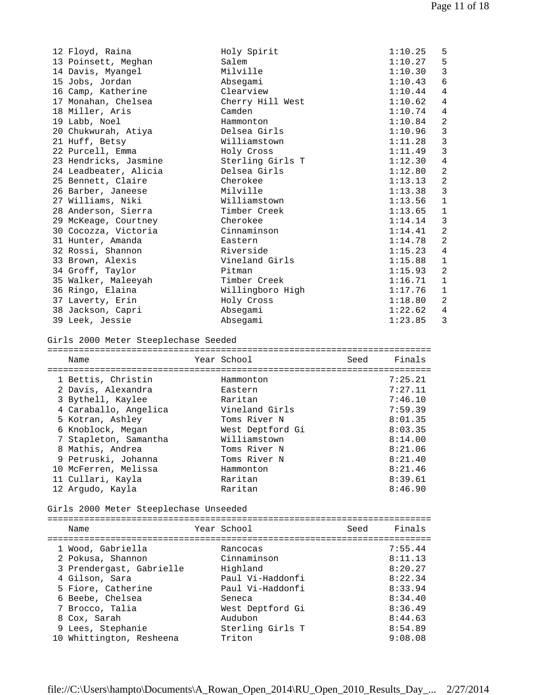| 12 Floyd, Raina       | Holy Spirit      | 1:10.25 | 5              |
|-----------------------|------------------|---------|----------------|
| 13 Poinsett, Meghan   | Salem            | 1:10.27 | 5              |
| 14 Davis, Myangel     | Milville         | 1:10.30 | 3              |
| 15 Jobs, Jordan       | Absegami         | 1:10.43 | 6              |
| 16 Camp, Katherine    | Clearview        | 1:10.44 | 4              |
| 17 Monahan, Chelsea   | Cherry Hill West | 1:10.62 | 4              |
| 18 Miller, Aris       | Camden           | 1:10.74 | 4              |
| 19 Labb, Noel         | Hammonton        | 1:10.84 | $\overline{2}$ |
| 20 Chukwurah, Atiya   | Delsea Girls     | 1:10.96 | $\overline{3}$ |
| 21 Huff, Betsy        | Williamstown     | 1:11.28 | $\mathbf{3}$   |
| 22 Purcell, Emma      | Holy Cross       | 1:11.49 | $\mathbf{3}$   |
| 23 Hendricks, Jasmine | Sterling Girls T | 1:12.30 | $\overline{4}$ |
| 24 Leadbeater, Alicia | Delsea Girls     | 1:12.80 | $\overline{2}$ |
| 25 Bennett, Claire    | Cherokee         | 1:13.13 | $\overline{2}$ |
| 26 Barber, Janeese    | Milville         | 1:13.38 | 3              |
| 27 Williams, Niki     | Williamstown     | 1:13.56 | $\mathbf{1}$   |
| 28 Anderson, Sierra   | Timber Creek     | 1:13.65 | $\mathbf{1}$   |
| 29 McKeage, Courtney  | Cherokee         | 1:14.14 | 3              |
| 30 Cocozza, Victoria  | Cinnaminson      | 1:14.41 | $\overline{2}$ |
| 31 Hunter, Amanda     | Eastern          | 1:14.78 | 2              |
| 32 Rossi, Shannon     | Riverside        | 1:15.23 | $\overline{4}$ |
| 33 Brown, Alexis      | Vineland Girls   | 1:15.88 | $\mathbf{1}$   |
| 34 Groff, Taylor      | Pitman           | 1:15.93 | 2              |
| 35 Walker, Maleeyah   | Timber Creek     | 1:16.71 | $\mathbf{1}$   |
| 36 Ringo, Elaina      | Willingboro High | 1:17.76 | $\mathbf{1}$   |
| 37 Laverty, Erin      | Holy Cross       | 1:18.80 | $\overline{2}$ |
| 38 Jackson, Capri     | Absegami         | 1:22.62 | $\overline{4}$ |
| 39 Leek, Jessie       | Absegami         | 1:23.85 | 3              |
|                       |                  |         |                |
|                       |                  |         |                |

## Girls 2000 Meter Steeplechase Seeded

| Name                  | Year School      | Seed | Finals  |
|-----------------------|------------------|------|---------|
|                       |                  |      |         |
| 1 Bettis, Christin    | Hammonton        |      | 7:25.21 |
| 2 Davis, Alexandra    | Eastern          |      | 7:27.11 |
| 3 Bythell, Kaylee     | Raritan          |      | 7:46.10 |
| 4 Caraballo, Angelica | Vineland Girls   |      | 7:59.39 |
| 5 Kotran, Ashley      | Toms River N     |      | 8:01.35 |
| 6 Knoblock, Megan     | West Deptford Gi |      | 8:03.35 |
| 7 Stapleton, Samantha | Williamstown     |      | 8:14.00 |
| 8 Mathis, Andrea      | Toms River N     |      | 8:21.06 |
| 9 Petruski, Johanna   | Toms River N     |      | 8:21.40 |
| 10 McFerren, Melissa  | Hammonton        |      | 8:21.46 |
| 11 Cullari, Kayla     | Raritan          |      | 8:39.61 |
| 12 Argudo, Kayla      | Raritan          |      | 8:46.90 |

## Girls 2000 Meter Steeplechase Unseeded

| Name                     | Year School      | Seed | Finals  |
|--------------------------|------------------|------|---------|
| 1 Wood, Gabriella        | Rancocas         |      | 7:55.44 |
| 2 Pokusa, Shannon        | Cinnaminson      |      | 8:11.13 |
| 3 Prendergast, Gabrielle | Highland         |      | 8:20.27 |
| 4 Gilson, Sara           | Paul Vi-Haddonfi |      | 8:22.34 |
| 5 Fiore, Catherine       | Paul Vi-Haddonfi |      | 8:33.94 |
| 6 Beebe, Chelsea         | Seneca           |      | 8:34.40 |
| 7 Brocco, Talia          | West Deptford Gi |      | 8:36.49 |
| 8 Cox, Sarah             | Audubon          |      | 8:44.63 |
| 9 Lees, Stephanie        | Sterling Girls T |      | 8:54.89 |
| 10 Whittington, Resheena | Triton           |      | 9:08.08 |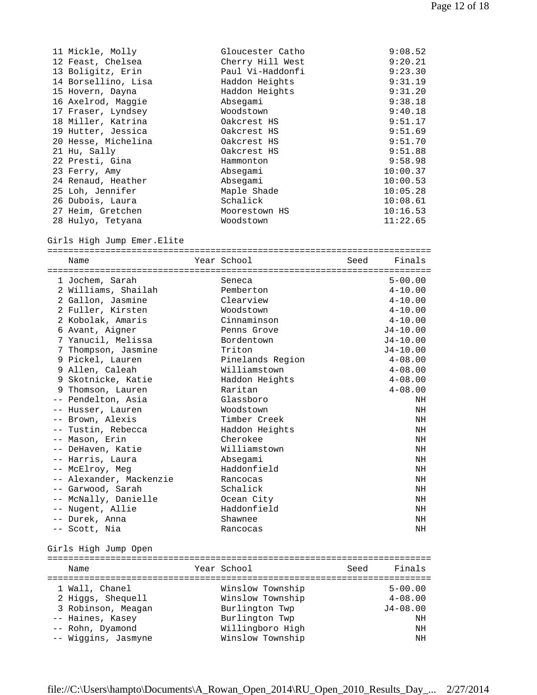| 11 Mickle, Molly    | Gloucester Catho | 9:08.52  |
|---------------------|------------------|----------|
| 12 Feast, Chelsea   | Cherry Hill West | 9:20.21  |
| 13 Boligitz, Erin   | Paul Vi-Haddonfi | 9:23.30  |
| 14 Borsellino, Lisa | Haddon Heights   | 9:31.19  |
| 15 Hovern, Dayna    | Haddon Heights   | 9:31.20  |
| 16 Axelrod, Maggie  | Absegami         | 9:38.18  |
| 17 Fraser, Lyndsey  | Woodstown        | 9:40.18  |
| 18 Miller, Katrina  | Oakcrest HS      | 9:51.17  |
| 19 Hutter, Jessica  | Oakcrest HS      | 9:51.69  |
| 20 Hesse, Michelina | Oakcrest HS      | 9:51.70  |
| 21 Hu, Sally        | Oakcrest HS      | 9:51.88  |
| 22 Presti, Gina     | Hammonton        | 9:58.98  |
| 23 Ferry, Amy       | Absegami         | 10:00.37 |
| 24 Renaud, Heather  | Absegami         | 10:00.53 |
| 25 Loh, Jennifer    | Maple Shade      | 10:05.28 |
| 26 Dubois, Laura    | Schalick         | 10:08.61 |
| 27 Heim, Gretchen   | Moorestown HS    | 10:16.53 |
| 28 Hulyo, Tetyana   | Woodstown        | 11:22.65 |

Girls High Jump Emer.Elite

| Name                    | Year School      | Seed | Finals       |
|-------------------------|------------------|------|--------------|
|                         |                  |      |              |
| 1 Jochem, Sarah         | Seneca           |      | $5 - 00.00$  |
| 2 Williams, Shailah     | Pemberton        |      | $4 - 10.00$  |
| 2 Gallon, Jasmine       | Clearview        |      | $4 - 10.00$  |
| 2 Fuller, Kirsten       | Woodstown        |      | $4 - 10.00$  |
| 2 Kobolak, Amaris       | Cinnaminson      |      | $4 - 10.00$  |
| 6 Avant, Aigner         | Penns Grove      |      | $J4 - 10.00$ |
| 7 Yanucil, Melissa      | Bordentown       |      | $J4 - 10.00$ |
| 7 Thompson, Jasmine     | Triton           |      | $J4 - 10.00$ |
| 9 Pickel, Lauren        | Pinelands Region |      | $4 - 08.00$  |
| 9 Allen, Caleah         | Williamstown     |      | $4 - 08.00$  |
| 9 Skotnicke, Katie      | Haddon Heights   |      | $4 - 08.00$  |
| 9 Thomson, Lauren       | Raritan          |      | $4 - 08.00$  |
| -- Pendelton, Asia      | Glassboro        |      | NH           |
| -- Husser, Lauren       | Woodstown        |      | NH           |
| -- Brown, Alexis        | Timber Creek     |      | NH           |
| -- Tustin, Rebecca      | Haddon Heights   |      | NH           |
| -- Mason, Erin          | Cherokee         |      | NH           |
| -- DeHaven, Katie       | Williamstown     |      | NH           |
| -- Harris, Laura        | Absegami         |      | NH           |
| -- McElroy, Meg         | Haddonfield      |      | NH           |
| -- Alexander, Mackenzie | Rancocas         |      | NH           |
| -- Garwood, Sarah       | Schalick         |      | NH           |
| -- McNally, Danielle    | Ocean City       |      | NH           |
| -- Nugent, Allie        | Haddonfield      |      | NH           |
| -- Durek, Anna          | Shawnee          |      | NH           |
| -- Scott, Nia           | Rancocas         |      | NH           |

Girls High Jump Open

| Year School<br>Seed<br>Name                                                                                                                                                                                                                  | Finals                                                       |
|----------------------------------------------------------------------------------------------------------------------------------------------------------------------------------------------------------------------------------------------|--------------------------------------------------------------|
|                                                                                                                                                                                                                                              |                                                              |
| Winslow Township<br>1 Wall, Chanel<br>Winslow Township<br>2 Higgs, Shequell<br>3 Robinson, Meagan<br>Burlington Twp<br>Burlington Twp<br>-- Haines, Kasey<br>Willingboro High<br>-- Rohn, Dyamond<br>-- Wiggins, Jasmyne<br>Winslow Township | $5 - 00.00$<br>$4 - 08.00$<br>$J4 - 08.00$<br>NΗ<br>ΝH<br>NH |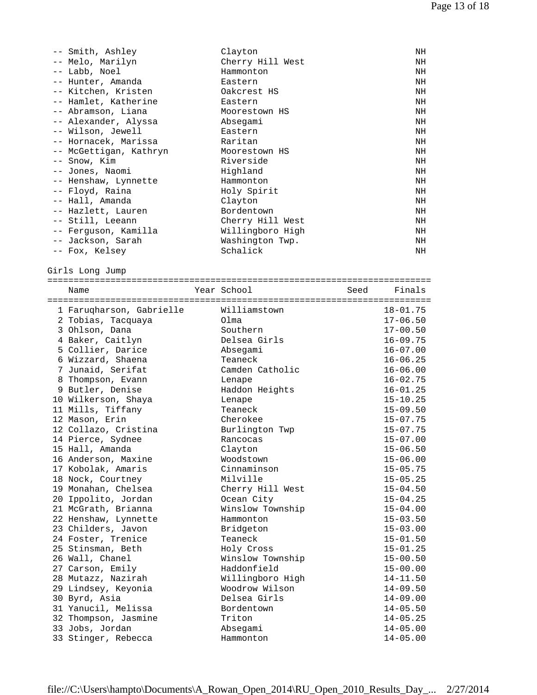| -- Smith, Ashley       | Clayton          | ΝH |
|------------------------|------------------|----|
| -- Melo, Marilyn       | Cherry Hill West | NH |
| -- Labb, Noel          | Hammonton        | NH |
| -- Hunter, Amanda      | Eastern          | NH |
| -- Kitchen, Kristen    | Oakcrest HS      | NH |
| -- Hamlet, Katherine   | Eastern          | ΝH |
| -- Abramson, Liana     | Moorestown HS    | NH |
| -- Alexander, Alyssa   | Absegami         | ΝH |
| -- Wilson, Jewell      | Eastern          | ΝH |
| -- Hornacek, Marissa   | Raritan          | NH |
| -- McGettigan, Kathryn | Moorestown HS    | NH |
| -- Snow, Kim           | Riverside        | NH |
| -- Jones, Naomi        | Highland         | NH |
| -- Henshaw, Lynnette   | Hammonton        | NH |
| -- Floyd, Raina        | Holy Spirit      | NH |
| -- Hall, Amanda        | Clayton          | ΝH |
| -- Hazlett, Lauren     | Bordentown       | NH |
| -- Still, Leeann       | Cherry Hill West | NH |
| -- Ferquson, Kamilla   | Willingboro High | NH |
| -- Jackson, Sarah      | Washington Twp.  | NH |
| -- Fox, Kelsey         | Schalick         | NH |

Girls Long Jump

| Name                     | Year School      | Seed Finals  |
|--------------------------|------------------|--------------|
|                          |                  |              |
| 1 Farugharson, Gabrielle | Williamstown     | $18 - 01.75$ |
| 2 Tobias, Tacquaya       | Olma             | $17 - 06.50$ |
| 3 Ohlson, Dana           | Southern         | $17 - 00.50$ |
| 4 Baker, Caitlyn         | Delsea Girls     | $16 - 09.75$ |
| 5 Collier, Darice        | Absegami         | $16 - 07.00$ |
| 6 Wizzard, Shaena        | Teaneck          | $16 - 06.25$ |
| 7 Junaid, Serifat        | Camden Catholic  | $16 - 06.00$ |
| 8 Thompson, Evann        | Lenape           | $16 - 02.75$ |
| 9 Butler, Denise         | Haddon Heights   | $16 - 01.25$ |
| 10 Wilkerson, Shaya      | Lenape           | $15 - 10.25$ |
| 11 Mills, Tiffany        | Teaneck          | $15 - 09.50$ |
| 12 Mason, Erin           | Cherokee         | $15 - 07.75$ |
| 12 Collazo, Cristina     | Burlington Twp   | $15 - 07.75$ |
| 14 Pierce, Sydnee        | Rancocas         | $15 - 07.00$ |
| 15 Hall, Amanda          | Clayton          | $15 - 06.50$ |
| 16 Anderson, Maxine      | Woodstown        | $15 - 06.00$ |
| 17 Kobolak, Amaris       | Cinnaminson      | $15 - 05.75$ |
| 18 Nock, Courtney        | Milville         | $15 - 05.25$ |
| 19 Monahan, Chelsea      | Cherry Hill West | $15 - 04.50$ |
| 20 Ippolito, Jordan      | Ocean City       | $15 - 04.25$ |
| 21 McGrath, Brianna      | Winslow Township | $15 - 04.00$ |
| 22 Henshaw, Lynnette     | Hammonton        | $15 - 03.50$ |
| 23 Childers, Javon       | Bridgeton        | $15 - 03.00$ |
| 24 Foster, Trenice       | Teaneck          | $15 - 01.50$ |
| 25 Stinsman, Beth        | Holy Cross       | $15 - 01.25$ |
| 26 Wall, Chanel          | Winslow Township | $15 - 00.50$ |
| 27 Carson, Emily         | Haddonfield      | $15 - 00.00$ |
| 28 Mutazz, Nazirah       | Willingboro High | $14 - 11.50$ |
| 29 Lindsey, Keyonia      | Woodrow Wilson   | $14 - 09.50$ |
| 30 Byrd, Asia            | Delsea Girls     | $14 - 09.00$ |
| 31 Yanucil, Melissa      | Bordentown       | $14 - 05.50$ |
| 32 Thompson, Jasmine     | Triton           | $14 - 05.25$ |
| 33 Jobs, Jordan          | Absegami         | $14 - 05.00$ |
| 33 Stinger, Rebecca      | Hammonton        | $14 - 05.00$ |
|                          |                  |              |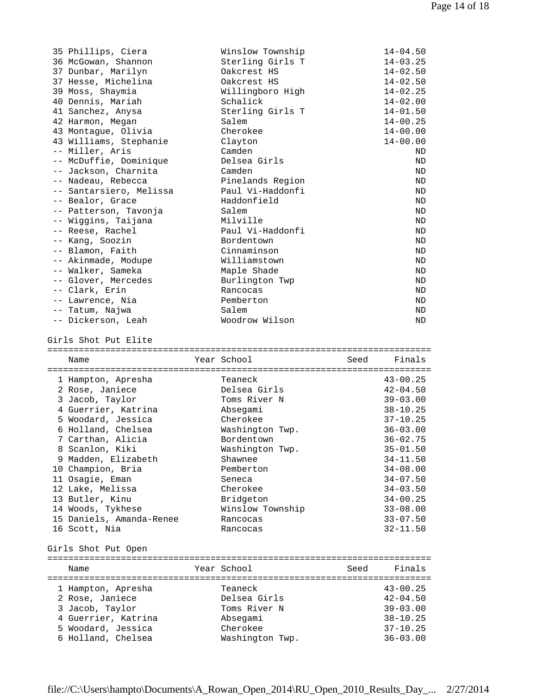| 35 Phillips, Ciera<br>36 McGowan, Shannon<br>37 Dunbar, Marilyn<br>37 Hesse, Michelina<br>39 Moss, Shaymia<br>40 Dennis, Mariah<br>41 Sanchez, Anysa<br>42 Harmon, Megan<br>43 Montague, Olivia<br>43 Williams, Stephanie<br>-- Miller, Aris<br>-- McDuffie, Dominique<br>-- Jackson, Charnita<br>-- Nadeau, Rebecca<br>-- Santarsiero, Melissa<br>-- Bealor, Grace<br>-- Patterson, Tavonja<br>-- Wiggins, Taijana<br>-- Reese, Rachel<br>-- Kang, Soozin<br>-- Blamon, Faith<br>-- Akinmade, Modupe<br>-- Walker, Sameka<br>-- Glover, Mercedes<br>-- Clark, Erin<br>-- Lawrence, Nia<br>-- Tatum, Najwa | Winslow Township<br>Sterling Girls T<br>Oakcrest HS<br>Oakcrest HS<br>Willingboro High<br>Schalick<br>Sterling Girls T<br>Salem<br>Cherokee<br>Clayton<br>Camden<br>Delsea Girls<br>Camden<br>Pinelands Region<br>Paul Vi-Haddonfi<br>Haddonfield<br>Salem<br>Milville<br>Paul Vi-Haddonfi<br>Bordentown<br>Cinnaminson<br>Williamstown<br>Maple Shade<br>Burlington Twp<br>Rancocas<br>Pemberton<br>Salem | $14 - 04.50$<br>$14 - 03.25$<br>$14 - 02.50$<br>$14 - 02.50$<br>$14 - 02.25$<br>$14 - 02.00$<br>$14 - 01.50$<br>$14 - 00.25$<br>$14 - 00.00$<br>$14 - 00.00$<br>ND<br>ND<br>ND<br>ND<br>ND<br>ND<br>ND<br>ND<br>ND<br>ND<br>ND<br>ND<br>ND<br>ND<br>ND<br>ND<br>ND |
|------------------------------------------------------------------------------------------------------------------------------------------------------------------------------------------------------------------------------------------------------------------------------------------------------------------------------------------------------------------------------------------------------------------------------------------------------------------------------------------------------------------------------------------------------------------------------------------------------------|------------------------------------------------------------------------------------------------------------------------------------------------------------------------------------------------------------------------------------------------------------------------------------------------------------------------------------------------------------------------------------------------------------|--------------------------------------------------------------------------------------------------------------------------------------------------------------------------------------------------------------------------------------------------------------------|
| -- Dickerson, Leah                                                                                                                                                                                                                                                                                                                                                                                                                                                                                                                                                                                         | Woodrow Wilson                                                                                                                                                                                                                                                                                                                                                                                             | ND                                                                                                                                                                                                                                                                 |
| Girls Shot Put Elite                                                                                                                                                                                                                                                                                                                                                                                                                                                                                                                                                                                       |                                                                                                                                                                                                                                                                                                                                                                                                            |                                                                                                                                                                                                                                                                    |
|                                                                                                                                                                                                                                                                                                                                                                                                                                                                                                                                                                                                            |                                                                                                                                                                                                                                                                                                                                                                                                            |                                                                                                                                                                                                                                                                    |
|                                                                                                                                                                                                                                                                                                                                                                                                                                                                                                                                                                                                            |                                                                                                                                                                                                                                                                                                                                                                                                            |                                                                                                                                                                                                                                                                    |
| Name                                                                                                                                                                                                                                                                                                                                                                                                                                                                                                                                                                                                       | Year School                                                                                                                                                                                                                                                                                                                                                                                                | Finals<br>Seed                                                                                                                                                                                                                                                     |
| 1 Hampton, Apresha<br>2 Rose, Janiece<br>3 Jacob, Taylor<br>4 Guerrier, Katrina<br>5 Woodard, Jessica<br>6 Holland, Chelsea<br>7 Carthan, Alicia<br>8 Scanlon, Kiki<br>9 Madden, Elizabeth<br>10 Champion, Bria<br>11 Osagie, Eman<br>12 Lake, Melissa<br>13 Butler, Kinu<br>14 Woods, Tykhese<br>15 Daniels, Amanda-Renee<br>16 Scott, Nia<br>Girls Shot Put Open                                                                                                                                                                                                                                         | Teaneck<br>Delsea Girls<br>Toms River N<br>Absegami<br>Cherokee<br>Washington Twp.<br>Bordentown<br>Washington Twp.<br>Shawnee<br>Pemberton<br>Seneca<br>Cherokee<br>Bridgeton<br>Winslow Township<br>Rancocas<br>Rancocas                                                                                                                                                                                 | $43 - 00.25$<br>$42 - 04.50$<br>$39 - 03.00$<br>$38 - 10.25$<br>$37 - 10.25$<br>$36 - 03.00$<br>$36 - 02.75$<br>$35 - 01.50$<br>$34 - 11.50$<br>$34 - 08.00$<br>$34 - 07.50$<br>$34 - 03.50$<br>$34 - 00.25$<br>$33 - 08.00$<br>$33 - 07.50$<br>$32 - 11.50$       |
|                                                                                                                                                                                                                                                                                                                                                                                                                                                                                                                                                                                                            |                                                                                                                                                                                                                                                                                                                                                                                                            |                                                                                                                                                                                                                                                                    |
| Name                                                                                                                                                                                                                                                                                                                                                                                                                                                                                                                                                                                                       | Year School                                                                                                                                                                                                                                                                                                                                                                                                | Seed<br>Finals                                                                                                                                                                                                                                                     |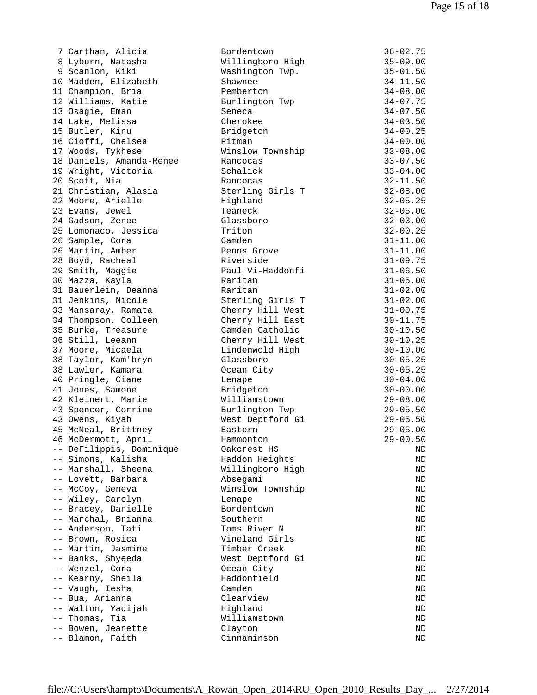| 7 Carthan, Alicia        | Bordentown       | $36 - 02.75$ |
|--------------------------|------------------|--------------|
| 8 Lyburn, Natasha        | Willingboro High | $35 - 09.00$ |
| 9 Scanlon, Kiki          | Washington Twp.  | $35 - 01.50$ |
| 10 Madden, Elizabeth     | Shawnee          | $34 - 11.50$ |
| 11 Champion, Bria        | Pemberton        | $34 - 08.00$ |
| 12 Williams, Katie       | Burlington Twp   | $34 - 07.75$ |
| 13 Osagie, Eman          | Seneca           | $34 - 07.50$ |
| 14 Lake, Melissa         | Cherokee         | $34 - 03.50$ |
| 15 Butler, Kinu          | Bridgeton        | $34 - 00.25$ |
| 16 Cioffi, Chelsea       | Pitman           | $34 - 00.00$ |
| 17 Woods, Tykhese        | Winslow Township | $33 - 08.00$ |
| 18 Daniels, Amanda-Renee | Rancocas         | $33 - 07.50$ |
|                          | Schalick         | $33 - 04.00$ |
| 19 Wright, Victoria      |                  |              |
| 20 Scott, Nia            | Rancocas         | $32 - 11.50$ |
| 21 Christian, Alasia     | Sterling Girls T | $32 - 08.00$ |
| 22 Moore, Arielle        | Highland         | $32 - 05.25$ |
| 23 Evans, Jewel          | Teaneck          | $32 - 05.00$ |
| 24 Gadson, Zenee         | Glassboro        | $32 - 03.00$ |
| 25 Lomonaco, Jessica     | Triton           | $32 - 00.25$ |
| 26 Sample, Cora          | Camden           | $31 - 11.00$ |
| 26 Martin, Amber         | Penns Grove      | $31 - 11.00$ |
| 28 Boyd, Racheal         | Riverside        | $31 - 09.75$ |
| 29 Smith, Maggie         | Paul Vi-Haddonfi | $31 - 06.50$ |
| 30 Mazza, Kayla          | Raritan          | $31 - 05.00$ |
| 31 Bauerlein, Deanna     | Raritan          | $31 - 02.00$ |
| 31 Jenkins, Nicole       | Sterling Girls T | $31 - 02.00$ |
| 33 Mansaray, Ramata      | Cherry Hill West | $31 - 00.75$ |
| 34 Thompson, Colleen     | Cherry Hill East | $30 - 11.75$ |
| 35 Burke, Treasure       | Camden Catholic  | $30 - 10.50$ |
| 36 Still, Leeann         | Cherry Hill West | $30 - 10.25$ |
| 37 Moore, Micaela        | Lindenwold High  | $30 - 10.00$ |
| 38 Taylor, Kam'bryn      | Glassboro        | $30 - 05.25$ |
| 38 Lawler, Kamara        | Ocean City       | $30 - 05.25$ |
| 40 Pringle, Ciane        | Lenape           | $30 - 04.00$ |
| 41 Jones, Samone         | Bridgeton        | $30 - 00.00$ |
| 42 Kleinert, Marie       | Williamstown     | $29 - 08.00$ |
| 43 Spencer, Corrine      |                  | $29 - 05.50$ |
|                          | Burlington Twp   |              |
| 43 Owens, Kiyah          | West Deptford Gi | $29 - 05.50$ |
| 45 McNeal, Brittney      | Eastern          | $29 - 05.00$ |
| 46 McDermott, April      | Hammonton        | $29 - 00.50$ |
| -- DeFilippis, Dominique | Oakcrest HS      | ND           |
| -- Simons, Kalisha       | Haddon Heights   | ND           |
| -- Marshall, Sheena      | Willingboro High | ND           |
| -- Lovett, Barbara       | Absegami         | ND           |
| -- McCoy, Geneva         | Winslow Township | ND           |
| -- Wiley, Carolyn        | Lenape           | ND           |
| -- Bracey, Danielle      | Bordentown       | ND           |
| -- Marchal, Brianna      | Southern         | ND           |
| -- Anderson, Tati        | Toms River N     | ND           |
| -- Brown, Rosica         | Vineland Girls   | ND           |
| -- Martin, Jasmine       | Timber Creek     | ND           |
| -- Banks, Shyeeda        | West Deptford Gi | ND           |
| -- Wenzel, Cora          | Ocean City       | ND           |
| -- Kearny, Sheila        | Haddonfield      | ND           |
| -- Vaugh, Iesha          | Camden           | ND           |
| -- Bua, Arianna          | Clearview        | ND           |
| -- Walton, Yadijah       | Highland         | ND           |
| -- Thomas, Tia           | Williamstown     | ND           |
| -- Bowen, Jeanette       | Clayton          | ND           |
| -- Blamon, Faith         | Cinnaminson      | ND           |
|                          |                  |              |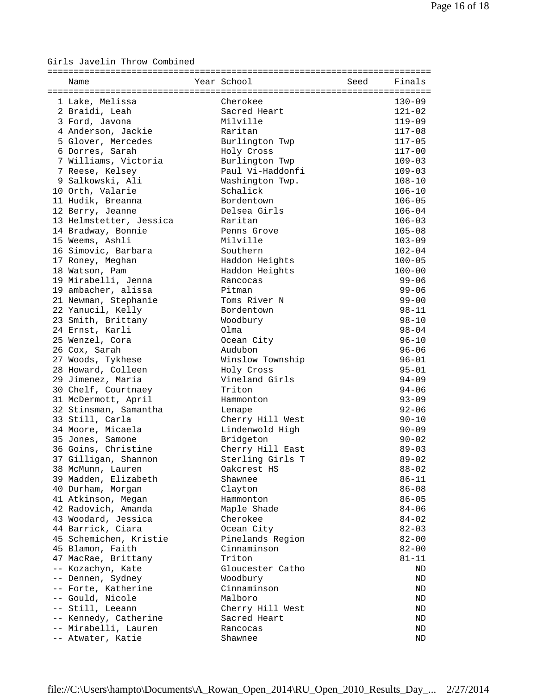Girls Javelin Throw Combined

| Name                                    | Year School      | Seed | Finals     |
|-----------------------------------------|------------------|------|------------|
| 1 Lake, Melissa                         | Cherokee         |      | $130 - 09$ |
| 2 Braidi, Leah                          | Sacred Heart     |      | $121 - 02$ |
| 3 Ford, Javona                          | Milville         |      | $119 - 09$ |
| 4 Anderson, Jackie                      | Raritan          |      | $117 - 08$ |
| 5 Glover, Mercedes                      | Burlington Twp   |      | $117 - 05$ |
|                                         |                  |      | $117 - 00$ |
| 6 Dorres, Sarah<br>7 Williams, Victoria | Holy Cross       |      |            |
|                                         | Burlington Twp   |      | $109 - 03$ |
| 7 Reese, Kelsey                         | Paul Vi-Haddonfi |      | $109 - 03$ |
| 9 Salkowski, Ali                        | Washington Twp.  |      | $108 - 10$ |
| 10 Orth, Valarie                        | Schalick         |      | $106 - 10$ |
| 11 Hudik, Breanna                       | Bordentown       |      | $106 - 05$ |
| 12 Berry, Jeanne                        | Delsea Girls     |      | $106 - 04$ |
| 13 Helmstetter, Jessica                 | Raritan          |      | $106 - 03$ |
| 14 Bradway, Bonnie                      | Penns Grove      |      | $105 - 08$ |
| 15 Weems, Ashli                         | Milville         |      | $103 - 09$ |
| 16 Simovic, Barbara                     | Southern         |      | $102 - 04$ |
| 17 Roney, Meghan                        | Haddon Heights   |      | $100 - 05$ |
| 18 Watson, Pam                          | Haddon Heights   |      | $100 - 00$ |
| 19 Mirabelli, Jenna                     | Rancocas         |      | $99 - 06$  |
| 19 ambacher, alissa                     | Pitman           |      | $99 - 06$  |
| 21 Newman, Stephanie                    | Toms River N     |      | $99 - 00$  |
| 22 Yanucil, Kelly                       | Bordentown       |      | $98 - 11$  |
| 23 Smith, Brittany                      | Woodbury         |      | $98 - 10$  |
| 24 Ernst, Karli                         | Olma             |      | $98 - 04$  |
| 25 Wenzel, Cora                         | Ocean City       |      | $96 - 10$  |
| 26 Cox, Sarah                           | Audubon          |      | $96 - 06$  |
| 27 Woods, Tykhese                       | Winslow Township |      | $96 - 01$  |
| 28 Howard, Colleen                      | Holy Cross       |      | $95 - 01$  |
| 29 Jimenez, Maria                       | Vineland Girls   |      | $94 - 09$  |
| 30 Chelf, Courtnaey                     | Triton           |      | $94 - 06$  |
| 31 McDermott, April                     | Hammonton        |      | $93 - 09$  |
| 32 Stinsman, Samantha                   | Lenape           |      | $92 - 06$  |
| 33 Still, Carla                         | Cherry Hill West |      | $90 - 10$  |
| 34 Moore, Micaela                       | Lindenwold High  |      | $90 - 09$  |
| 35 Jones, Samone                        | Bridgeton        |      | $90 - 02$  |
| 36 Goins, Christine                     | Cherry Hill East |      | $89 - 03$  |
| 37 Gilligan, Shannon                    | Sterling Girls T |      | $89 - 02$  |
| 38 McMunn, Lauren                       | Oakcrest HS      |      | $88 - 02$  |
| 39 Madden, Elizabeth                    | Shawnee          |      | $86 - 11$  |
| 40 Durham, Morgan                       | Clayton          |      | $86 - 08$  |
| 41 Atkinson, Megan                      | Hammonton        |      | $86 - 05$  |
| 42 Radovich, Amanda                     | Maple Shade      |      |            |
|                                         |                  |      | $84 - 06$  |
| 43 Woodard, Jessica                     | Cherokee         |      | $84 - 02$  |
| 44 Barrick, Ciara                       | Ocean City       |      | $82 - 03$  |
| 45 Schemichen, Kristie                  | Pinelands Region |      | $82 - 00$  |
| 45 Blamon, Faith                        | Cinnaminson      |      | $82 - 00$  |
| 47 MacRae, Brittany                     | Triton           |      | $81 - 11$  |
| -- Kozachyn, Kate                       | Gloucester Catho |      | ND         |
| -- Dennen, Sydney                       | Woodbury         |      | ND         |
| -- Forte, Katherine                     | Cinnaminson      |      | ND         |
| -- Gould, Nicole                        | Malboro          |      | ND         |
| -- Still, Leeann                        | Cherry Hill West |      | ND         |
| -- Kennedy, Catherine                   | Sacred Heart     |      | ND         |
| -- Mirabelli, Lauren                    | Rancocas         |      | ND         |
| -- Atwater, Katie                       | Shawnee          |      | ΝD         |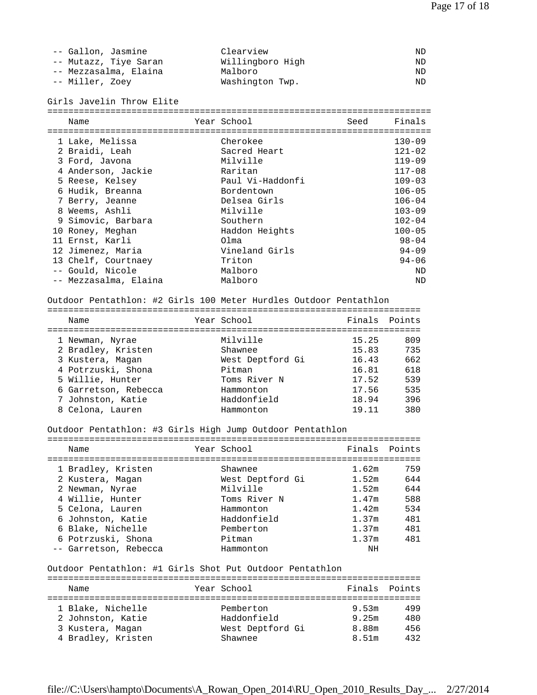| -- Gallon, Jasmine    | Clearview        | ND |
|-----------------------|------------------|----|
| -- Mutazz, Tiye Saran | Willingboro High | ND |
| -- Mezzasalma, Elaina | Malboro          | ND |
| -- Miller, Zoey       | Washington Twp.  | ND |

Girls Javelin Throw Elite

| Name                  | Year School      | Seed | Finals     |
|-----------------------|------------------|------|------------|
|                       |                  |      |            |
| 1 Lake, Melissa       | Cherokee         |      | $130 - 09$ |
| 2 Braidi, Leah        | Sacred Heart     |      | $121 - 02$ |
| 3 Ford, Javona        | Milville         |      | $119 - 09$ |
| 4 Anderson, Jackie    | Raritan          |      | $117 - 08$ |
| 5 Reese, Kelsey       | Paul Vi-Haddonfi |      | $109 - 03$ |
| 6 Hudik, Breanna      | Bordentown       |      | $106 - 05$ |
| 7 Berry, Jeanne       | Delsea Girls     |      | $106 - 04$ |
| 8 Weems, Ashli        | Milville         |      | $103 - 09$ |
| 9 Simovic, Barbara    | Southern         |      | $102 - 04$ |
| 10 Roney, Meghan      | Haddon Heights   |      | $100 - 05$ |
| 11 Ernst, Karli       | Olma             |      | $98 - 04$  |
| 12 Jimenez, Maria     | Vineland Girls   |      | $94 - 09$  |
| 13 Chelf, Courtnaey   | Triton           |      | $94 - 06$  |
| -- Gould, Nicole      | Malboro          |      | ND         |
| -- Mezzasalma, Elaina | Malboro          |      | ND         |

Outdoor Pentathlon: #2 Girls 100 Meter Hurdles Outdoor Pentathlon

| Name                 | Year School      | Finals Points |     |
|----------------------|------------------|---------------|-----|
| 1 Newman, Nyrae      | Milville         | 15.25         | 809 |
| 2 Bradley, Kristen   | Shawnee          | 15.83         | 735 |
| 3 Kustera, Magan     | West Deptford Gi | 16.43         | 662 |
| 4 Potrzuski, Shona   | Pitman           | 16.81         | 618 |
| 5 Willie, Hunter     | Toms River N     | 17.52         | 539 |
| 6 Garretson, Rebecca | Hammonton        | 17.56         | 535 |
| 7 Johnston, Katie    | Haddonfield      | 18.94         | 396 |
| 8 Celona, Lauren     | Hammonton        | 19.11         | 380 |

## Outdoor Pentathlon: #3 Girls High Jump Outdoor Pentathlon

| Name                                    | Year School                  | Finals Points  |            |
|-----------------------------------------|------------------------------|----------------|------------|
| 1 Bradley, Kristen                      | Shawnee                      | 1.62m          | 759        |
| 2 Kustera, Magan<br>2 Newman, Nyrae     | West Deptford Gi<br>Milville | 1.52m<br>1.52m | 644<br>644 |
| 4 Willie, Hunter<br>5 Celona, Lauren    | Toms River N<br>Hammonton    | 1.47m<br>1.42m | 588<br>534 |
| 6 Johnston, Katie                       | Haddonfield                  | 1.37m          | 481        |
| 6 Blake, Nichelle<br>6 Potrzuski, Shona | Pemberton<br>Pitman          | 1.37m<br>1.37m | 481<br>481 |
| -- Garretson, Rebecca                   | Hammonton                    | ΝH             |            |

## Outdoor Pentathlon: #1 Girls Shot Put Outdoor Pentathlon

| Name               |  | Year School      |  | Finals Points |     |  |  |
|--------------------|--|------------------|--|---------------|-----|--|--|
|                    |  |                  |  |               |     |  |  |
| 1 Blake, Nichelle  |  | Pemberton        |  | 9.53m         | 499 |  |  |
| 2 Johnston, Katie  |  | Haddonfield      |  | 9.25m         | 480 |  |  |
| 3 Kustera, Magan   |  | West Deptford Gi |  | 8.88m         | 456 |  |  |
| 4 Bradley, Kristen |  | Shawnee          |  | 8.51m         | 432 |  |  |